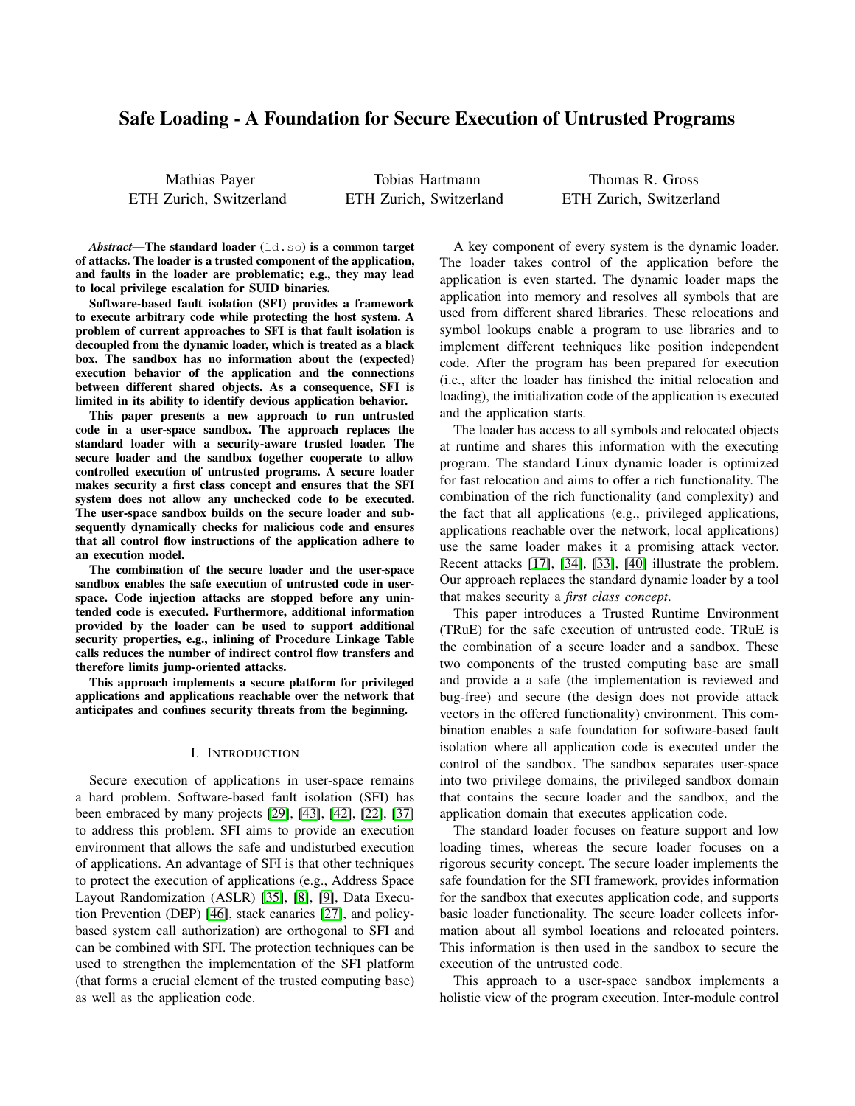# Safe Loading - A Foundation for Secure Execution of Untrusted Programs

Mathias Payer ETH Zurich, Switzerland

Tobias Hartmann ETH Zurich, Switzerland

Thomas R. Gross ETH Zurich, Switzerland

*Abstract*—The standard loader (ld.so) is a common target of attacks. The loader is a trusted component of the application, and faults in the loader are problematic; e.g., they may lead to local privilege escalation for SUID binaries.

Software-based fault isolation (SFI) provides a framework to execute arbitrary code while protecting the host system. A problem of current approaches to SFI is that fault isolation is decoupled from the dynamic loader, which is treated as a black box. The sandbox has no information about the (expected) execution behavior of the application and the connections between different shared objects. As a consequence, SFI is limited in its ability to identify devious application behavior.

This paper presents a new approach to run untrusted code in a user-space sandbox. The approach replaces the standard loader with a security-aware trusted loader. The secure loader and the sandbox together cooperate to allow controlled execution of untrusted programs. A secure loader makes security a first class concept and ensures that the SFI system does not allow any unchecked code to be executed. The user-space sandbox builds on the secure loader and subsequently dynamically checks for malicious code and ensures that all control flow instructions of the application adhere to an execution model.

The combination of the secure loader and the user-space sandbox enables the safe execution of untrusted code in userspace. Code injection attacks are stopped before any unintended code is executed. Furthermore, additional information provided by the loader can be used to support additional security properties, e.g., inlining of Procedure Linkage Table calls reduces the number of indirect control flow transfers and therefore limits jump-oriented attacks.

This approach implements a secure platform for privileged applications and applications reachable over the network that anticipates and confines security threats from the beginning.

### I. INTRODUCTION

Secure execution of applications in user-space remains a hard problem. Software-based fault isolation (SFI) has been embraced by many projects [\[29\]](#page-14-0), [\[43\]](#page-14-1), [\[42\]](#page-14-2), [\[22\]](#page-14-3), [\[37\]](#page-14-4) to address this problem. SFI aims to provide an execution environment that allows the safe and undisturbed execution of applications. An advantage of SFI is that other techniques to protect the execution of applications (e.g., Address Space Layout Randomization (ASLR) [\[35\]](#page-14-5), [\[8\]](#page-13-0), [\[9\]](#page-13-1), Data Execution Prevention (DEP) [\[46\]](#page-14-6), stack canaries [\[27\]](#page-14-7), and policybased system call authorization) are orthogonal to SFI and can be combined with SFI. The protection techniques can be used to strengthen the implementation of the SFI platform (that forms a crucial element of the trusted computing base) as well as the application code.

A key component of every system is the dynamic loader. The loader takes control of the application before the application is even started. The dynamic loader maps the application into memory and resolves all symbols that are used from different shared libraries. These relocations and symbol lookups enable a program to use libraries and to implement different techniques like position independent code. After the program has been prepared for execution (i.e., after the loader has finished the initial relocation and loading), the initialization code of the application is executed and the application starts.

The loader has access to all symbols and relocated objects at runtime and shares this information with the executing program. The standard Linux dynamic loader is optimized for fast relocation and aims to offer a rich functionality. The combination of the rich functionality (and complexity) and the fact that all applications (e.g., privileged applications, applications reachable over the network, local applications) use the same loader makes it a promising attack vector. Recent attacks [\[17\]](#page-14-8), [\[34\]](#page-14-9), [\[33\]](#page-14-10), [\[40\]](#page-14-11) illustrate the problem. Our approach replaces the standard dynamic loader by a tool that makes security a *first class concept*.

This paper introduces a Trusted Runtime Environment (TRuE) for the safe execution of untrusted code. TRuE is the combination of a secure loader and a sandbox. These two components of the trusted computing base are small and provide a a safe (the implementation is reviewed and bug-free) and secure (the design does not provide attack vectors in the offered functionality) environment. This combination enables a safe foundation for software-based fault isolation where all application code is executed under the control of the sandbox. The sandbox separates user-space into two privilege domains, the privileged sandbox domain that contains the secure loader and the sandbox, and the application domain that executes application code.

The standard loader focuses on feature support and low loading times, whereas the secure loader focuses on a rigorous security concept. The secure loader implements the safe foundation for the SFI framework, provides information for the sandbox that executes application code, and supports basic loader functionality. The secure loader collects information about all symbol locations and relocated pointers. This information is then used in the sandbox to secure the execution of the untrusted code.

This approach to a user-space sandbox implements a holistic view of the program execution. Inter-module control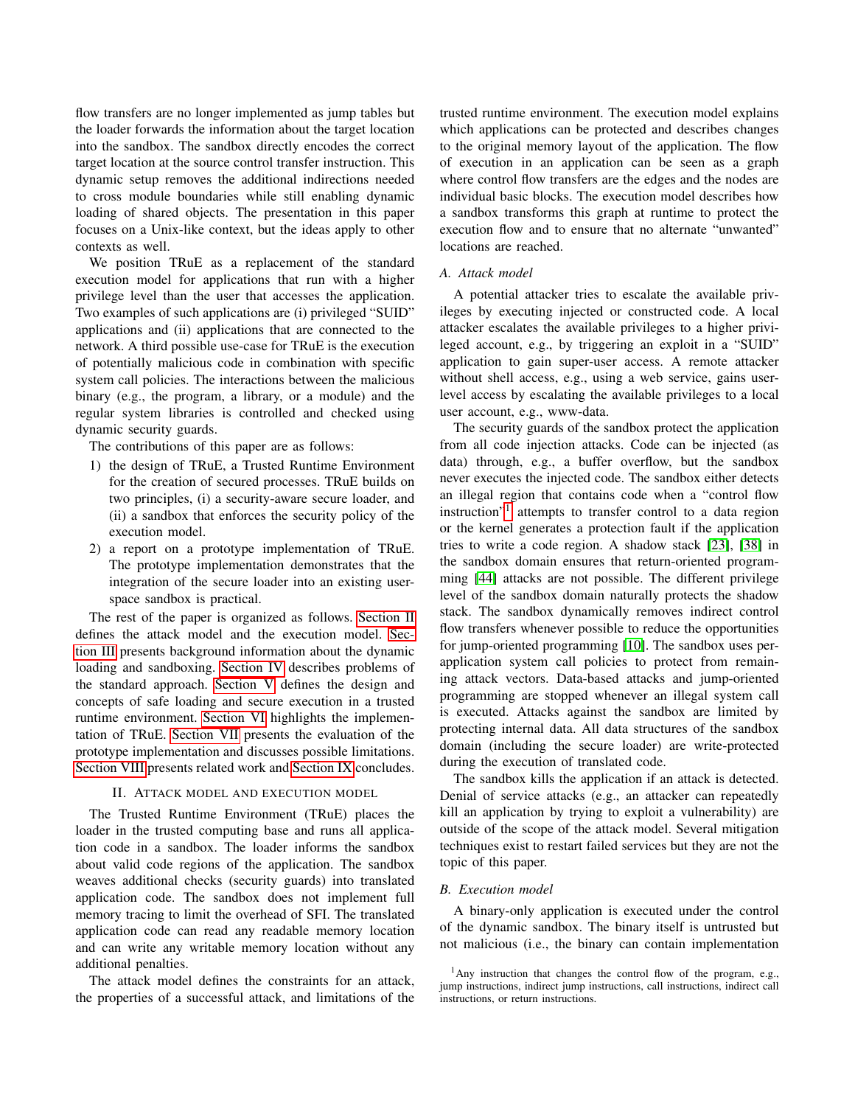flow transfers are no longer implemented as jump tables but the loader forwards the information about the target location into the sandbox. The sandbox directly encodes the correct target location at the source control transfer instruction. This dynamic setup removes the additional indirections needed to cross module boundaries while still enabling dynamic loading of shared objects. The presentation in this paper focuses on a Unix-like context, but the ideas apply to other contexts as well.

We position TRuE as a replacement of the standard execution model for applications that run with a higher privilege level than the user that accesses the application. Two examples of such applications are (i) privileged "SUID" applications and (ii) applications that are connected to the network. A third possible use-case for TRuE is the execution of potentially malicious code in combination with specific system call policies. The interactions between the malicious binary (e.g., the program, a library, or a module) and the regular system libraries is controlled and checked using dynamic security guards.

The contributions of this paper are as follows:

- 1) the design of TRuE, a Trusted Runtime Environment for the creation of secured processes. TRuE builds on two principles, (i) a security-aware secure loader, and (ii) a sandbox that enforces the security policy of the execution model.
- 2) a report on a prototype implementation of TRuE. The prototype implementation demonstrates that the integration of the secure loader into an existing userspace sandbox is practical.

The rest of the paper is organized as follows. [Section II](#page-1-0) defines the attack model and the execution model. [Sec](#page-2-0)[tion III](#page-2-0) presents background information about the dynamic loading and sandboxing. [Section IV](#page-3-0) describes problems of the standard approach. [Section V](#page-4-0) defines the design and concepts of safe loading and secure execution in a trusted runtime environment. [Section VI](#page-6-0) highlights the implementation of TRuE. [Section VII](#page-10-0) presents the evaluation of the prototype implementation and discusses possible limitations. [Section VIII](#page-12-0) presents related work and [Section IX](#page-13-2) concludes.

## II. ATTACK MODEL AND EXECUTION MODEL

<span id="page-1-0"></span>The Trusted Runtime Environment (TRuE) places the loader in the trusted computing base and runs all application code in a sandbox. The loader informs the sandbox about valid code regions of the application. The sandbox weaves additional checks (security guards) into translated application code. The sandbox does not implement full memory tracing to limit the overhead of SFI. The translated application code can read any readable memory location and can write any writable memory location without any additional penalties.

The attack model defines the constraints for an attack, the properties of a successful attack, and limitations of the trusted runtime environment. The execution model explains which applications can be protected and describes changes to the original memory layout of the application. The flow of execution in an application can be seen as a graph where control flow transfers are the edges and the nodes are individual basic blocks. The execution model describes how a sandbox transforms this graph at runtime to protect the execution flow and to ensure that no alternate "unwanted" locations are reached.

## *A. Attack model*

A potential attacker tries to escalate the available privileges by executing injected or constructed code. A local attacker escalates the available privileges to a higher privileged account, e.g., by triggering an exploit in a "SUID" application to gain super-user access. A remote attacker without shell access, e.g., using a web service, gains userlevel access by escalating the available privileges to a local user account, e.g., www-data.

The security guards of the sandbox protect the application from all code injection attacks. Code can be injected (as data) through, e.g., a buffer overflow, but the sandbox never executes the injected code. The sandbox either detects an illegal region that contains code when a "control flow instruction"[1](#page-1-1) attempts to transfer control to a data region or the kernel generates a protection fault if the application tries to write a code region. A shadow stack [\[23\]](#page-14-12), [\[38\]](#page-14-13) in the sandbox domain ensures that return-oriented programming [\[44\]](#page-14-14) attacks are not possible. The different privilege level of the sandbox domain naturally protects the shadow stack. The sandbox dynamically removes indirect control flow transfers whenever possible to reduce the opportunities for jump-oriented programming [\[10\]](#page-13-3). The sandbox uses perapplication system call policies to protect from remaining attack vectors. Data-based attacks and jump-oriented programming are stopped whenever an illegal system call is executed. Attacks against the sandbox are limited by protecting internal data. All data structures of the sandbox domain (including the secure loader) are write-protected during the execution of translated code.

The sandbox kills the application if an attack is detected. Denial of service attacks (e.g., an attacker can repeatedly kill an application by trying to exploit a vulnerability) are outside of the scope of the attack model. Several mitigation techniques exist to restart failed services but they are not the topic of this paper.

#### *B. Execution model*

A binary-only application is executed under the control of the dynamic sandbox. The binary itself is untrusted but not malicious (i.e., the binary can contain implementation

<span id="page-1-1"></span><sup>&</sup>lt;sup>1</sup>Any instruction that changes the control flow of the program, e.g., jump instructions, indirect jump instructions, call instructions, indirect call instructions, or return instructions.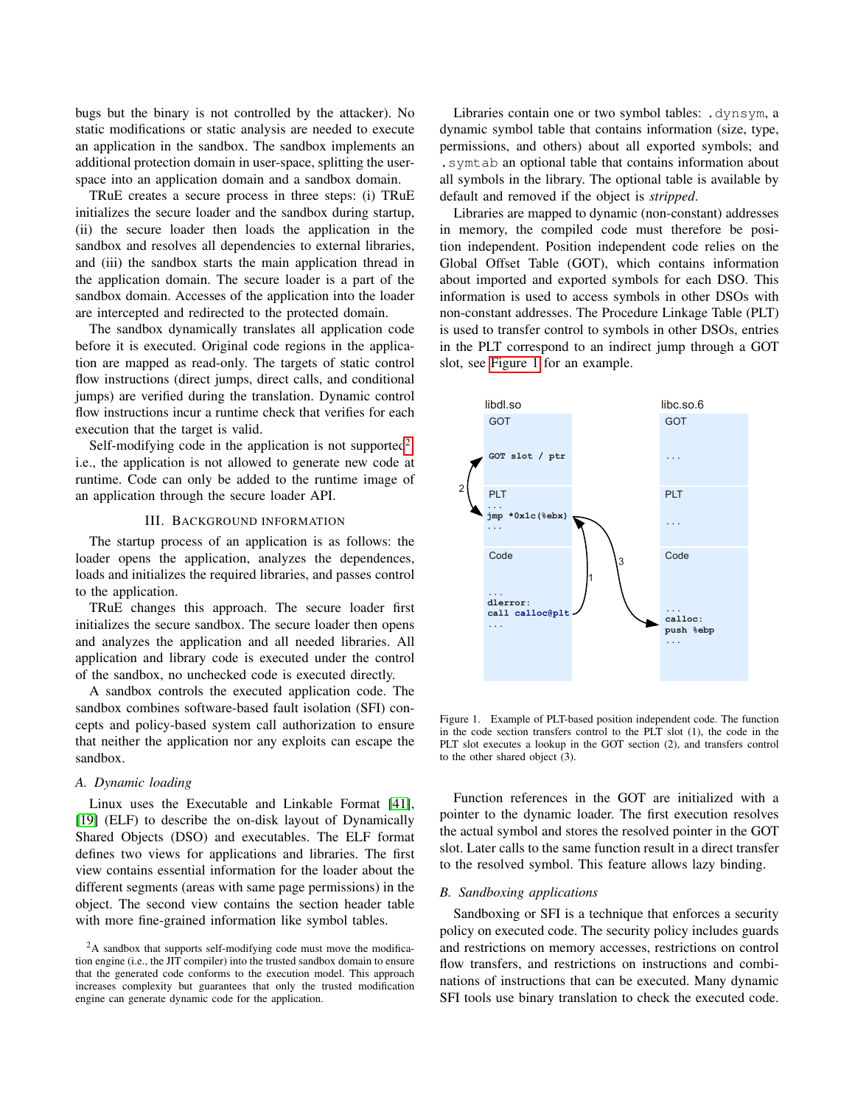bugs but the binary is not controlled by the attacker). No static modifications or static analysis are needed to execute an application in the sandbox. The sandbox implements an additional protection domain in user-space, splitting the userspace into an application domain and a sandbox domain.

TRuE creates a secure process in three steps: (i) TRuE initializes the secure loader and the sandbox during startup, (ii) the secure loader then loads the application in the sandbox and resolves all dependencies to external libraries, and (iii) the sandbox starts the main application thread in the application domain. The secure loader is a part of the sandbox domain. Accesses of the application into the loader are intercepted and redirected to the protected domain.

The sandbox dynamically translates all application code before it is executed. Original code regions in the application are mapped as read-only. The targets of static control flow instructions (direct jumps, direct calls, and conditional jumps) are verified during the translation. Dynamic control flow instructions incur a runtime check that verifies for each execution that the target is valid.

Self-modifying code in the application is not supported<sup>[2](#page-2-1)</sup>, i.e., the application is not allowed to generate new code at runtime. Code can only be added to the runtime image of an application through the secure loader API.

#### III. BACKGROUND INFORMATION

<span id="page-2-0"></span>The startup process of an application is as follows: the loader opens the application, analyzes the dependences, loads and initializes the required libraries, and passes control to the application.

TRuE changes this approach. The secure loader first initializes the secure sandbox. The secure loader then opens and analyzes the application and all needed libraries. All application and library code is executed under the control of the sandbox, no unchecked code is executed directly.

A sandbox controls the executed application code. The sandbox combines software-based fault isolation (SFI) concepts and policy-based system call authorization to ensure that neither the application nor any exploits can escape the sandbox.

# *A. Dynamic loading*

Linux uses the Executable and Linkable Format [\[41\]](#page-14-15), [\[19\]](#page-14-16) (ELF) to describe the on-disk layout of Dynamically Shared Objects (DSO) and executables. The ELF format defines two views for applications and libraries. The first view contains essential information for the loader about the different segments (areas with same page permissions) in the object. The second view contains the section header table with more fine-grained information like symbol tables.

Libraries contain one or two symbol tables: .dynsym, a dynamic symbol table that contains information (size, type, permissions, and others) about all exported symbols; and .symtab an optional table that contains information about all symbols in the library. The optional table is available by default and removed if the object is *stripped*.

Libraries are mapped to dynamic (non-constant) addresses in memory, the compiled code must therefore be position independent. Position independent code relies on the Global Offset Table (GOT), which contains information about imported and exported symbols for each DSO. This information is used to access symbols in other DSOs with non-constant addresses. The Procedure Linkage Table (PLT) is used to transfer control to symbols in other DSOs, entries in the PLT correspond to an indirect jump through a GOT slot, see [Figure 1](#page-2-2) for an example.



<span id="page-2-2"></span>Figure 1. Example of PLT-based position independent code. The function in the code section transfers control to the PLT slot (1), the code in the PLT slot executes a lookup in the GOT section (2), and transfers control to the other shared object (3).

Function references in the GOT are initialized with a pointer to the dynamic loader. The first execution resolves the actual symbol and stores the resolved pointer in the GOT slot. Later calls to the same function result in a direct transfer to the resolved symbol. This feature allows lazy binding.

### *B. Sandboxing applications*

Sandboxing or SFI is a technique that enforces a security policy on executed code. The security policy includes guards and restrictions on memory accesses, restrictions on control flow transfers, and restrictions on instructions and combinations of instructions that can be executed. Many dynamic SFI tools use binary translation to check the executed code.

<span id="page-2-1"></span><sup>&</sup>lt;sup>2</sup>A sandbox that supports self-modifying code must move the modification engine (i.e., the JIT compiler) into the trusted sandbox domain to ensure that the generated code conforms to the execution model. This approach increases complexity but guarantees that only the trusted modification engine can generate dynamic code for the application.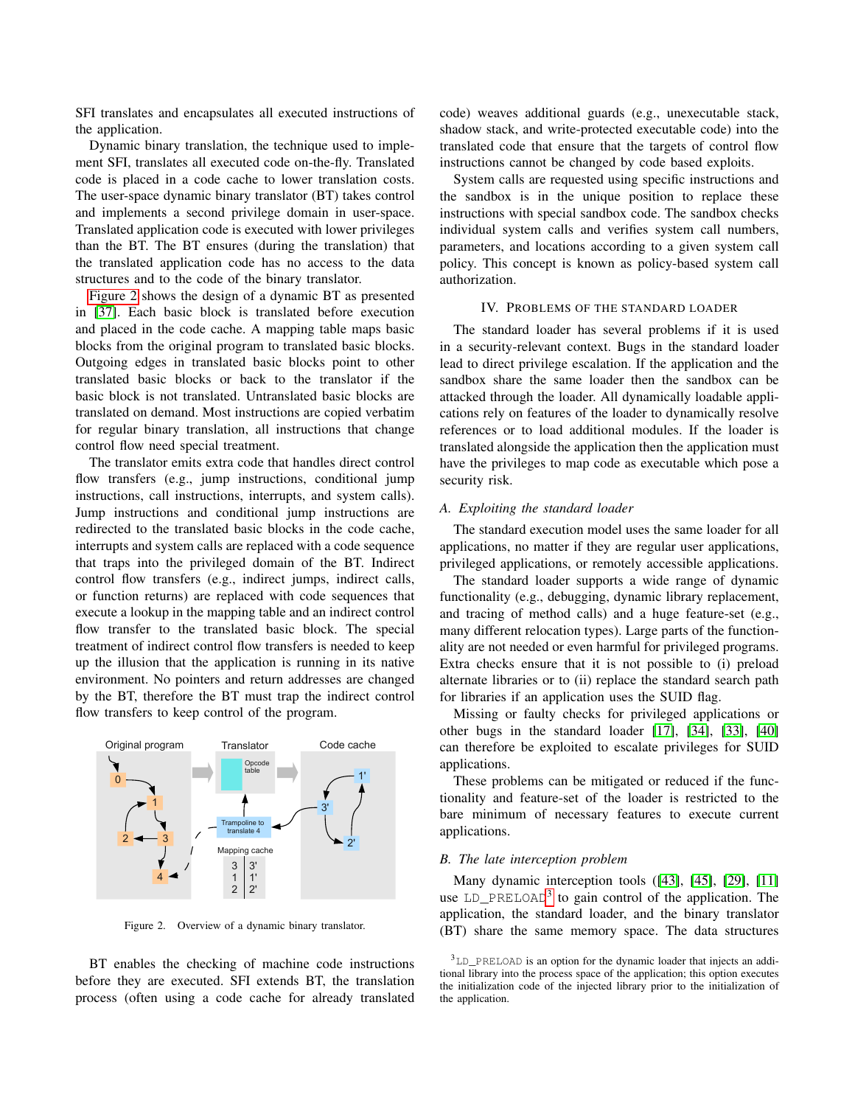SFI translates and encapsulates all executed instructions of the application.

Dynamic binary translation, the technique used to implement SFI, translates all executed code on-the-fly. Translated code is placed in a code cache to lower translation costs. The user-space dynamic binary translator (BT) takes control and implements a second privilege domain in user-space. Translated application code is executed with lower privileges than the BT. The BT ensures (during the translation) that the translated application code has no access to the data structures and to the code of the binary translator.

[Figure 2](#page-3-1) shows the design of a dynamic BT as presented in [\[37\]](#page-14-4). Each basic block is translated before execution and placed in the code cache. A mapping table maps basic blocks from the original program to translated basic blocks. Outgoing edges in translated basic blocks point to other translated basic blocks or back to the translator if the basic block is not translated. Untranslated basic blocks are translated on demand. Most instructions are copied verbatim for regular binary translation, all instructions that change control flow need special treatment.

The translator emits extra code that handles direct control flow transfers (e.g., jump instructions, conditional jump instructions, call instructions, interrupts, and system calls). Jump instructions and conditional jump instructions are redirected to the translated basic blocks in the code cache, interrupts and system calls are replaced with a code sequence that traps into the privileged domain of the BT. Indirect control flow transfers (e.g., indirect jumps, indirect calls, or function returns) are replaced with code sequences that execute a lookup in the mapping table and an indirect control flow transfer to the translated basic block. The special treatment of indirect control flow transfers is needed to keep up the illusion that the application is running in its native environment. No pointers and return addresses are changed by the BT, therefore the BT must trap the indirect control flow transfers to keep control of the program.



<span id="page-3-1"></span>Figure 2. Overview of a dynamic binary translator.

BT enables the checking of machine code instructions before they are executed. SFI extends BT, the translation process (often using a code cache for already translated code) weaves additional guards (e.g., unexecutable stack, shadow stack, and write-protected executable code) into the translated code that ensure that the targets of control flow instructions cannot be changed by code based exploits.

System calls are requested using specific instructions and the sandbox is in the unique position to replace these instructions with special sandbox code. The sandbox checks individual system calls and verifies system call numbers, parameters, and locations according to a given system call policy. This concept is known as policy-based system call authorization.

# IV. PROBLEMS OF THE STANDARD LOADER

<span id="page-3-0"></span>The standard loader has several problems if it is used in a security-relevant context. Bugs in the standard loader lead to direct privilege escalation. If the application and the sandbox share the same loader then the sandbox can be attacked through the loader. All dynamically loadable applications rely on features of the loader to dynamically resolve references or to load additional modules. If the loader is translated alongside the application then the application must have the privileges to map code as executable which pose a security risk.

#### <span id="page-3-3"></span>*A. Exploiting the standard loader*

The standard execution model uses the same loader for all applications, no matter if they are regular user applications, privileged applications, or remotely accessible applications.

The standard loader supports a wide range of dynamic functionality (e.g., debugging, dynamic library replacement, and tracing of method calls) and a huge feature-set (e.g., many different relocation types). Large parts of the functionality are not needed or even harmful for privileged programs. Extra checks ensure that it is not possible to (i) preload alternate libraries or to (ii) replace the standard search path for libraries if an application uses the SUID flag.

Missing or faulty checks for privileged applications or other bugs in the standard loader [\[17\]](#page-14-8), [\[34\]](#page-14-9), [\[33\]](#page-14-10), [\[40\]](#page-14-11) can therefore be exploited to escalate privileges for SUID applications.

These problems can be mitigated or reduced if the functionality and feature-set of the loader is restricted to the bare minimum of necessary features to execute current applications.

#### <span id="page-3-4"></span>*B. The late interception problem*

Many dynamic interception tools ([\[43\]](#page-14-1), [\[45\]](#page-14-17), [\[29\]](#page-14-0), [\[11\]](#page-13-4) use  $LD$ <sub>PRELOAD</sub><sup>[3](#page-3-2)</sup> to gain control of the application. The application, the standard loader, and the binary translator (BT) share the same memory space. The data structures

<span id="page-3-2"></span><sup>3</sup>LD\_PRELOAD is an option for the dynamic loader that injects an additional library into the process space of the application; this option executes the initialization code of the injected library prior to the initialization of the application.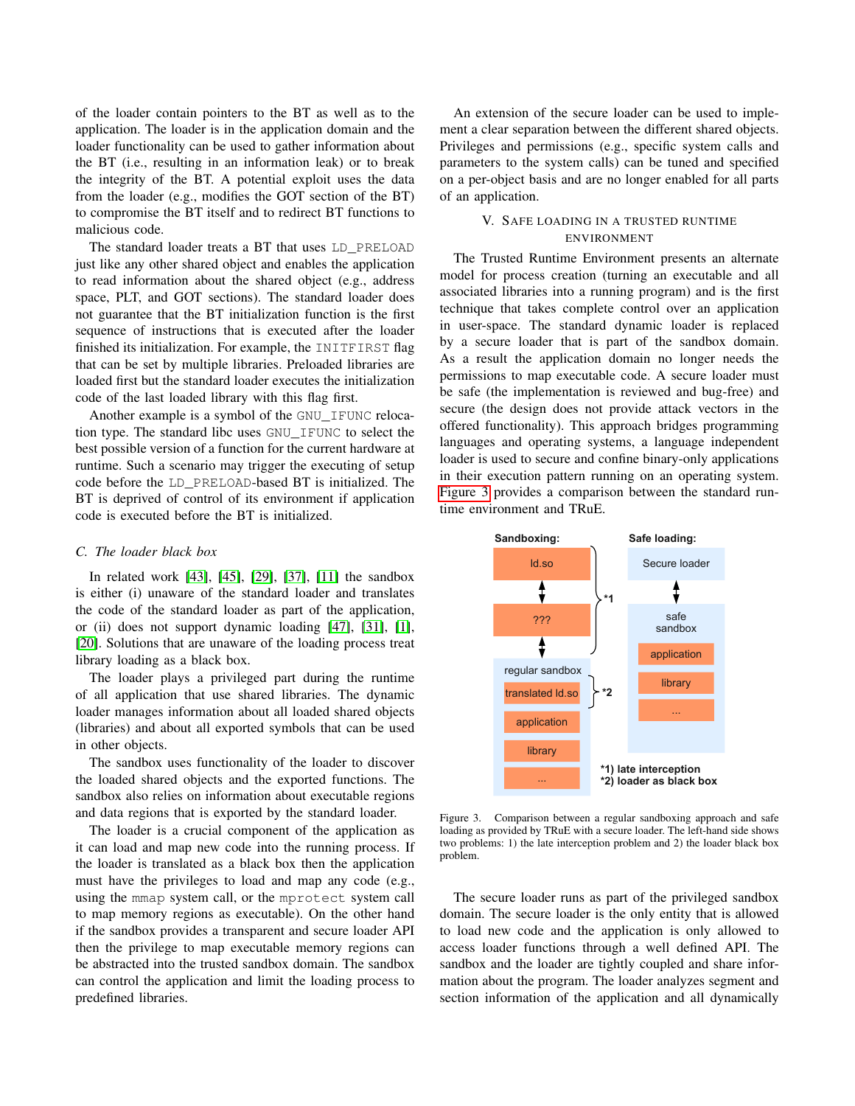of the loader contain pointers to the BT as well as to the application. The loader is in the application domain and the loader functionality can be used to gather information about the BT (i.e., resulting in an information leak) or to break the integrity of the BT. A potential exploit uses the data from the loader (e.g., modifies the GOT section of the BT) to compromise the BT itself and to redirect BT functions to malicious code.

The standard loader treats a BT that uses LD\_PRELOAD just like any other shared object and enables the application to read information about the shared object (e.g., address space, PLT, and GOT sections). The standard loader does not guarantee that the BT initialization function is the first sequence of instructions that is executed after the loader finished its initialization. For example, the INITFIRST flag that can be set by multiple libraries. Preloaded libraries are loaded first but the standard loader executes the initialization code of the last loaded library with this flag first.

Another example is a symbol of the GNU\_IFUNC relocation type. The standard libc uses GNU\_IFUNC to select the best possible version of a function for the current hardware at runtime. Such a scenario may trigger the executing of setup code before the LD\_PRELOAD-based BT is initialized. The BT is deprived of control of its environment if application code is executed before the BT is initialized.

# <span id="page-4-2"></span>*C. The loader black box*

In related work [\[43\]](#page-14-1), [\[45\]](#page-14-17), [\[29\]](#page-14-0), [\[37\]](#page-14-4), [\[11\]](#page-13-4) the sandbox is either (i) unaware of the standard loader and translates the code of the standard loader as part of the application, or (ii) does not support dynamic loading [\[47\]](#page-14-18), [\[31\]](#page-14-19), [\[1\]](#page-13-5), [\[20\]](#page-14-20). Solutions that are unaware of the loading process treat library loading as a black box.

The loader plays a privileged part during the runtime of all application that use shared libraries. The dynamic loader manages information about all loaded shared objects (libraries) and about all exported symbols that can be used in other objects.

The sandbox uses functionality of the loader to discover the loaded shared objects and the exported functions. The sandbox also relies on information about executable regions and data regions that is exported by the standard loader.

The loader is a crucial component of the application as it can load and map new code into the running process. If the loader is translated as a black box then the application must have the privileges to load and map any code (e.g., using the mmap system call, or the mprotect system call to map memory regions as executable). On the other hand if the sandbox provides a transparent and secure loader API then the privilege to map executable memory regions can be abstracted into the trusted sandbox domain. The sandbox can control the application and limit the loading process to predefined libraries.

An extension of the secure loader can be used to implement a clear separation between the different shared objects. Privileges and permissions (e.g., specific system calls and parameters to the system calls) can be tuned and specified on a per-object basis and are no longer enabled for all parts of an application.

# <span id="page-4-0"></span>V. SAFE LOADING IN A TRUSTED RUNTIME ENVIRONMENT

The Trusted Runtime Environment presents an alternate model for process creation (turning an executable and all associated libraries into a running program) and is the first technique that takes complete control over an application in user-space. The standard dynamic loader is replaced by a secure loader that is part of the sandbox domain. As a result the application domain no longer needs the permissions to map executable code. A secure loader must be safe (the implementation is reviewed and bug-free) and secure (the design does not provide attack vectors in the offered functionality). This approach bridges programming languages and operating systems, a language independent loader is used to secure and confine binary-only applications in their execution pattern running on an operating system. [Figure 3](#page-4-1) provides a comparison between the standard runtime environment and TRuE.



<span id="page-4-1"></span>Figure 3. Comparison between a regular sandboxing approach and safe loading as provided by TRuE with a secure loader. The left-hand side shows two problems: 1) the late interception problem and 2) the loader black box problem.

The secure loader runs as part of the privileged sandbox domain. The secure loader is the only entity that is allowed to load new code and the application is only allowed to access loader functions through a well defined API. The sandbox and the loader are tightly coupled and share information about the program. The loader analyzes segment and section information of the application and all dynamically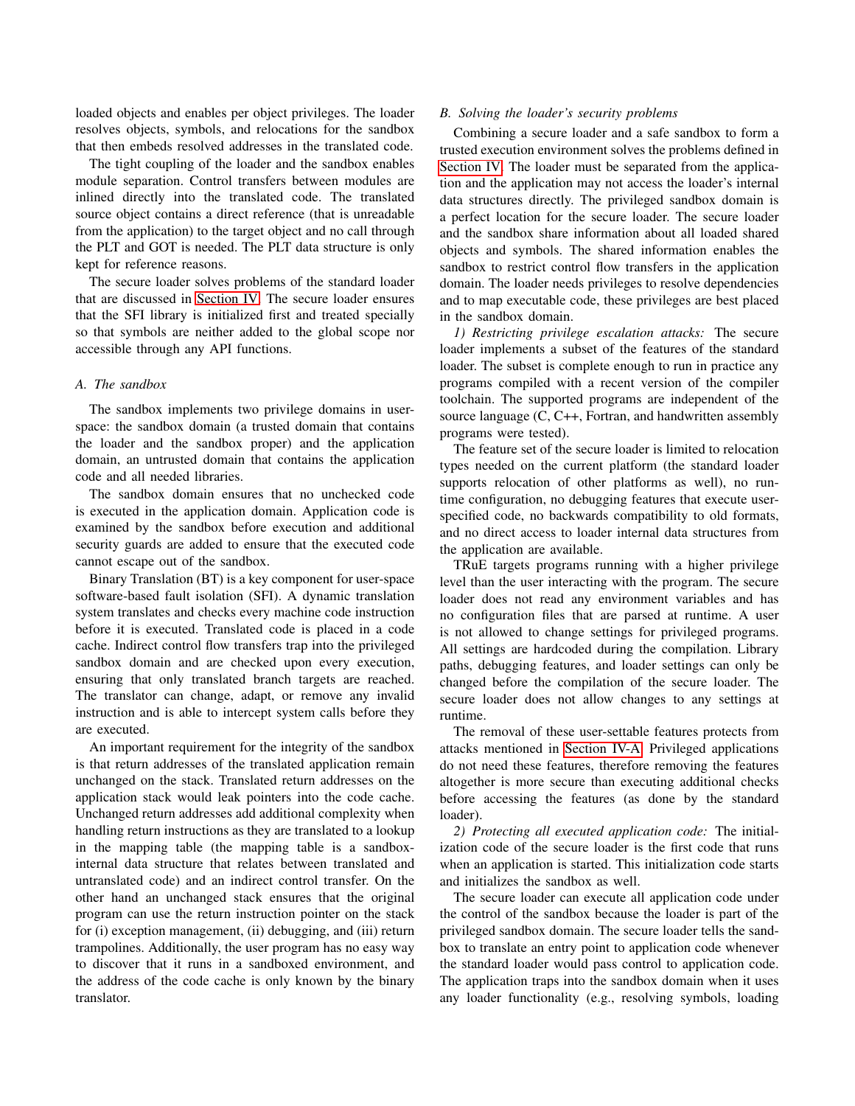loaded objects and enables per object privileges. The loader resolves objects, symbols, and relocations for the sandbox that then embeds resolved addresses in the translated code.

The tight coupling of the loader and the sandbox enables module separation. Control transfers between modules are inlined directly into the translated code. The translated source object contains a direct reference (that is unreadable from the application) to the target object and no call through the PLT and GOT is needed. The PLT data structure is only kept for reference reasons.

The secure loader solves problems of the standard loader that are discussed in [Section IV.](#page-3-0) The secure loader ensures that the SFI library is initialized first and treated specially so that symbols are neither added to the global scope nor accessible through any API functions.

## *A. The sandbox*

The sandbox implements two privilege domains in userspace: the sandbox domain (a trusted domain that contains the loader and the sandbox proper) and the application domain, an untrusted domain that contains the application code and all needed libraries.

The sandbox domain ensures that no unchecked code is executed in the application domain. Application code is examined by the sandbox before execution and additional security guards are added to ensure that the executed code cannot escape out of the sandbox.

Binary Translation (BT) is a key component for user-space software-based fault isolation (SFI). A dynamic translation system translates and checks every machine code instruction before it is executed. Translated code is placed in a code cache. Indirect control flow transfers trap into the privileged sandbox domain and are checked upon every execution, ensuring that only translated branch targets are reached. The translator can change, adapt, or remove any invalid instruction and is able to intercept system calls before they are executed.

An important requirement for the integrity of the sandbox is that return addresses of the translated application remain unchanged on the stack. Translated return addresses on the application stack would leak pointers into the code cache. Unchanged return addresses add additional complexity when handling return instructions as they are translated to a lookup in the mapping table (the mapping table is a sandboxinternal data structure that relates between translated and untranslated code) and an indirect control transfer. On the other hand an unchanged stack ensures that the original program can use the return instruction pointer on the stack for (i) exception management, (ii) debugging, and (iii) return trampolines. Additionally, the user program has no easy way to discover that it runs in a sandboxed environment, and the address of the code cache is only known by the binary translator.

## *B. Solving the loader's security problems*

Combining a secure loader and a safe sandbox to form a trusted execution environment solves the problems defined in [Section IV.](#page-3-0) The loader must be separated from the application and the application may not access the loader's internal data structures directly. The privileged sandbox domain is a perfect location for the secure loader. The secure loader and the sandbox share information about all loaded shared objects and symbols. The shared information enables the sandbox to restrict control flow transfers in the application domain. The loader needs privileges to resolve dependencies and to map executable code, these privileges are best placed in the sandbox domain.

*1) Restricting privilege escalation attacks:* The secure loader implements a subset of the features of the standard loader. The subset is complete enough to run in practice any programs compiled with a recent version of the compiler toolchain. The supported programs are independent of the source language (C, C++, Fortran, and handwritten assembly programs were tested).

The feature set of the secure loader is limited to relocation types needed on the current platform (the standard loader supports relocation of other platforms as well), no runtime configuration, no debugging features that execute userspecified code, no backwards compatibility to old formats, and no direct access to loader internal data structures from the application are available.

TRuE targets programs running with a higher privilege level than the user interacting with the program. The secure loader does not read any environment variables and has no configuration files that are parsed at runtime. A user is not allowed to change settings for privileged programs. All settings are hardcoded during the compilation. Library paths, debugging features, and loader settings can only be changed before the compilation of the secure loader. The secure loader does not allow changes to any settings at runtime.

The removal of these user-settable features protects from attacks mentioned in [Section IV-A.](#page-3-3) Privileged applications do not need these features, therefore removing the features altogether is more secure than executing additional checks before accessing the features (as done by the standard loader).

*2) Protecting all executed application code:* The initialization code of the secure loader is the first code that runs when an application is started. This initialization code starts and initializes the sandbox as well.

The secure loader can execute all application code under the control of the sandbox because the loader is part of the privileged sandbox domain. The secure loader tells the sandbox to translate an entry point to application code whenever the standard loader would pass control to application code. The application traps into the sandbox domain when it uses any loader functionality (e.g., resolving symbols, loading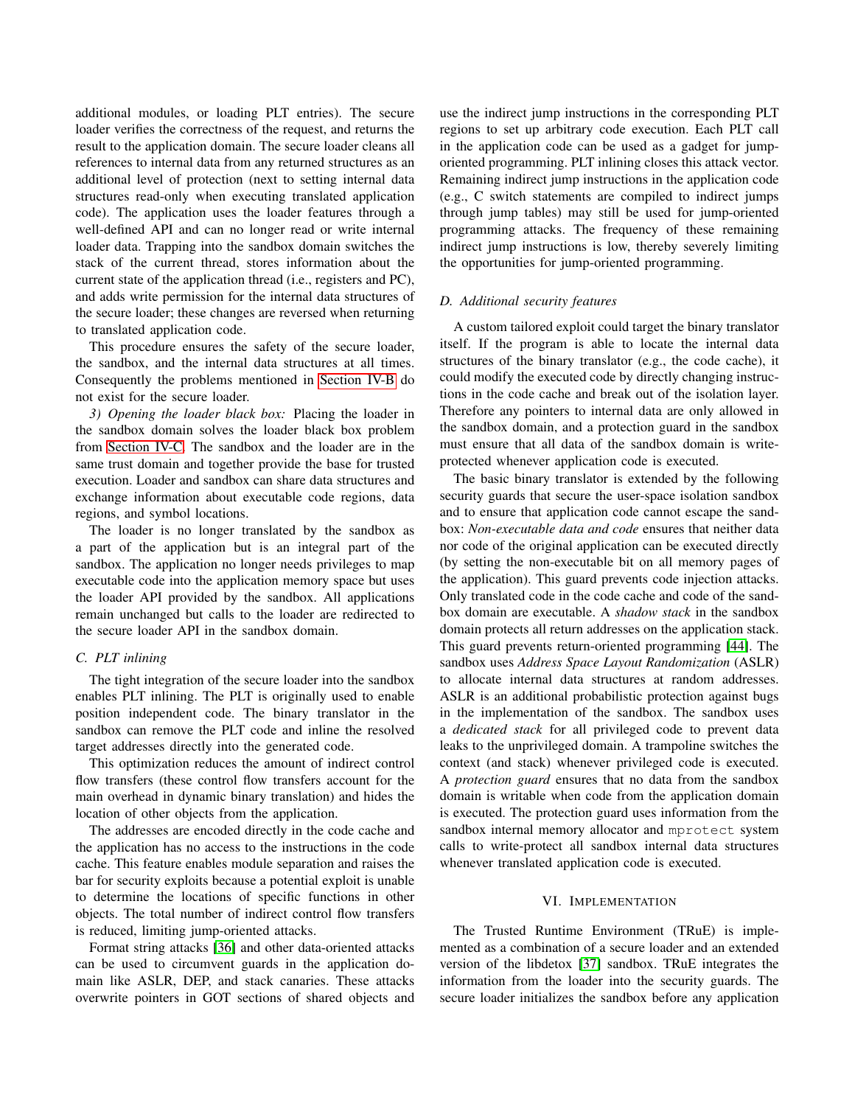additional modules, or loading PLT entries). The secure loader verifies the correctness of the request, and returns the result to the application domain. The secure loader cleans all references to internal data from any returned structures as an additional level of protection (next to setting internal data structures read-only when executing translated application code). The application uses the loader features through a well-defined API and can no longer read or write internal loader data. Trapping into the sandbox domain switches the stack of the current thread, stores information about the current state of the application thread (i.e., registers and PC), and adds write permission for the internal data structures of the secure loader; these changes are reversed when returning to translated application code.

This procedure ensures the safety of the secure loader, the sandbox, and the internal data structures at all times. Consequently the problems mentioned in [Section IV-B](#page-3-4) do not exist for the secure loader.

*3) Opening the loader black box:* Placing the loader in the sandbox domain solves the loader black box problem from [Section IV-C.](#page-4-2) The sandbox and the loader are in the same trust domain and together provide the base for trusted execution. Loader and sandbox can share data structures and exchange information about executable code regions, data regions, and symbol locations.

The loader is no longer translated by the sandbox as a part of the application but is an integral part of the sandbox. The application no longer needs privileges to map executable code into the application memory space but uses the loader API provided by the sandbox. All applications remain unchanged but calls to the loader are redirected to the secure loader API in the sandbox domain.

# <span id="page-6-1"></span>*C. PLT inlining*

The tight integration of the secure loader into the sandbox enables PLT inlining. The PLT is originally used to enable position independent code. The binary translator in the sandbox can remove the PLT code and inline the resolved target addresses directly into the generated code.

This optimization reduces the amount of indirect control flow transfers (these control flow transfers account for the main overhead in dynamic binary translation) and hides the location of other objects from the application.

The addresses are encoded directly in the code cache and the application has no access to the instructions in the code cache. This feature enables module separation and raises the bar for security exploits because a potential exploit is unable to determine the locations of specific functions in other objects. The total number of indirect control flow transfers is reduced, limiting jump-oriented attacks.

Format string attacks [\[36\]](#page-14-21) and other data-oriented attacks can be used to circumvent guards in the application domain like ASLR, DEP, and stack canaries. These attacks overwrite pointers in GOT sections of shared objects and use the indirect jump instructions in the corresponding PLT regions to set up arbitrary code execution. Each PLT call in the application code can be used as a gadget for jumporiented programming. PLT inlining closes this attack vector. Remaining indirect jump instructions in the application code (e.g., C switch statements are compiled to indirect jumps through jump tables) may still be used for jump-oriented programming attacks. The frequency of these remaining indirect jump instructions is low, thereby severely limiting the opportunities for jump-oriented programming.

#### *D. Additional security features*

A custom tailored exploit could target the binary translator itself. If the program is able to locate the internal data structures of the binary translator (e.g., the code cache), it could modify the executed code by directly changing instructions in the code cache and break out of the isolation layer. Therefore any pointers to internal data are only allowed in the sandbox domain, and a protection guard in the sandbox must ensure that all data of the sandbox domain is writeprotected whenever application code is executed.

The basic binary translator is extended by the following security guards that secure the user-space isolation sandbox and to ensure that application code cannot escape the sandbox: *Non-executable data and code* ensures that neither data nor code of the original application can be executed directly (by setting the non-executable bit on all memory pages of the application). This guard prevents code injection attacks. Only translated code in the code cache and code of the sandbox domain are executable. A *shadow stack* in the sandbox domain protects all return addresses on the application stack. This guard prevents return-oriented programming [\[44\]](#page-14-14). The sandbox uses *Address Space Layout Randomization* (ASLR) to allocate internal data structures at random addresses. ASLR is an additional probabilistic protection against bugs in the implementation of the sandbox. The sandbox uses a *dedicated stack* for all privileged code to prevent data leaks to the unprivileged domain. A trampoline switches the context (and stack) whenever privileged code is executed. A *protection guard* ensures that no data from the sandbox domain is writable when code from the application domain is executed. The protection guard uses information from the sandbox internal memory allocator and mprotect system calls to write-protect all sandbox internal data structures whenever translated application code is executed.

#### VI. IMPLEMENTATION

<span id="page-6-0"></span>The Trusted Runtime Environment (TRuE) is implemented as a combination of a secure loader and an extended version of the libdetox [\[37\]](#page-14-4) sandbox. TRuE integrates the information from the loader into the security guards. The secure loader initializes the sandbox before any application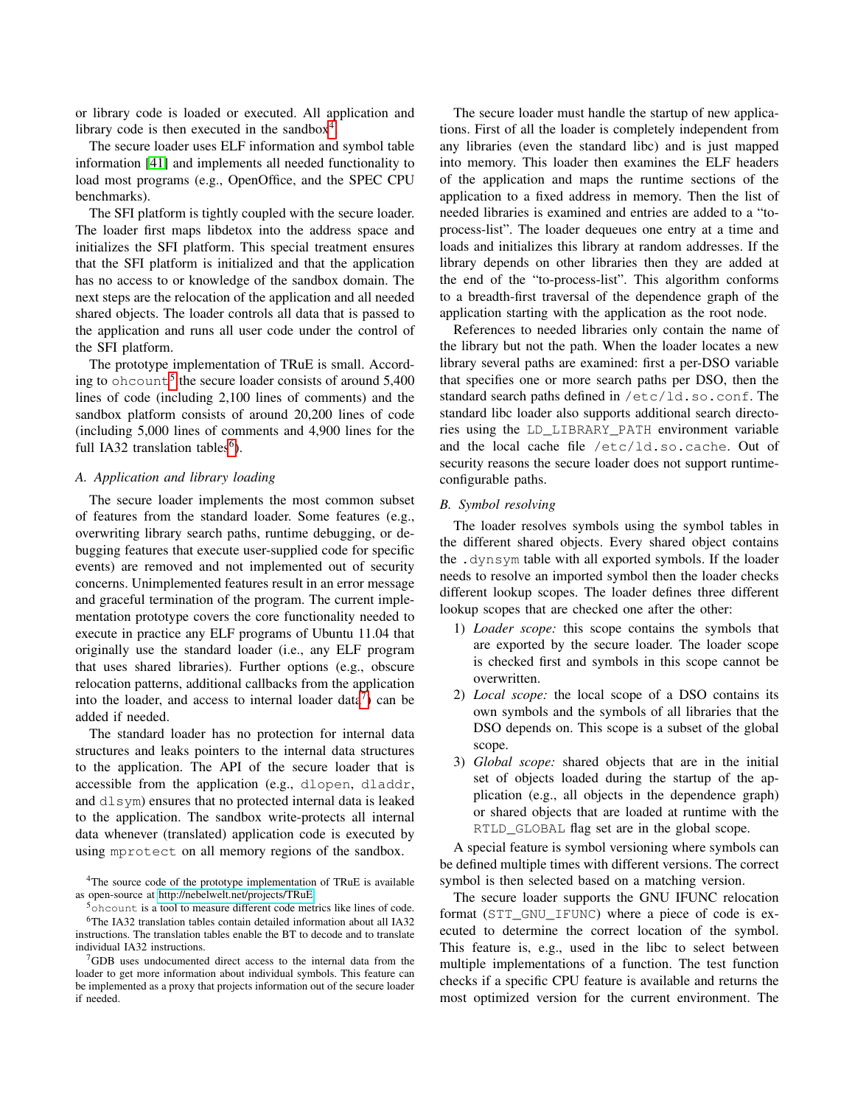or library code is loaded or executed. All application and library code is then executed in the sandbox $4$ .

The secure loader uses ELF information and symbol table information [\[41\]](#page-14-15) and implements all needed functionality to load most programs (e.g., OpenOffice, and the SPEC CPU benchmarks).

The SFI platform is tightly coupled with the secure loader. The loader first maps libdetox into the address space and initializes the SFI platform. This special treatment ensures that the SFI platform is initialized and that the application has no access to or knowledge of the sandbox domain. The next steps are the relocation of the application and all needed shared objects. The loader controls all data that is passed to the application and runs all user code under the control of the SFI platform.

The prototype implementation of TRuE is small. Accord-ing to ohcount<sup>[5](#page-7-1)</sup> the secure loader consists of around  $5,400$ lines of code (including 2,100 lines of comments) and the sandbox platform consists of around 20,200 lines of code (including 5,000 lines of comments and 4,900 lines for the full IA32 translation tables<sup>[6](#page-7-2)</sup>).

### *A. Application and library loading*

The secure loader implements the most common subset of features from the standard loader. Some features (e.g., overwriting library search paths, runtime debugging, or debugging features that execute user-supplied code for specific events) are removed and not implemented out of security concerns. Unimplemented features result in an error message and graceful termination of the program. The current implementation prototype covers the core functionality needed to execute in practice any ELF programs of Ubuntu 11.04 that originally use the standard loader (i.e., any ELF program that uses shared libraries). Further options (e.g., obscure relocation patterns, additional callbacks from the application into the loader, and access to internal loader data<sup>[7](#page-7-3)</sup>) can be added if needed.

The standard loader has no protection for internal data structures and leaks pointers to the internal data structures to the application. The API of the secure loader that is accessible from the application (e.g., dlopen, dladdr, and dlsym) ensures that no protected internal data is leaked to the application. The sandbox write-protects all internal data whenever (translated) application code is executed by using mprotect on all memory regions of the sandbox.

The secure loader must handle the startup of new applications. First of all the loader is completely independent from any libraries (even the standard libc) and is just mapped into memory. This loader then examines the ELF headers of the application and maps the runtime sections of the application to a fixed address in memory. Then the list of needed libraries is examined and entries are added to a "toprocess-list". The loader dequeues one entry at a time and loads and initializes this library at random addresses. If the library depends on other libraries then they are added at the end of the "to-process-list". This algorithm conforms to a breadth-first traversal of the dependence graph of the application starting with the application as the root node.

References to needed libraries only contain the name of the library but not the path. When the loader locates a new library several paths are examined: first a per-DSO variable that specifies one or more search paths per DSO, then the standard search paths defined in /etc/ld.so.conf. The standard libc loader also supports additional search directories using the LD\_LIBRARY\_PATH environment variable and the local cache file /etc/ld.so.cache. Out of security reasons the secure loader does not support runtimeconfigurable paths.

#### *B. Symbol resolving*

The loader resolves symbols using the symbol tables in the different shared objects. Every shared object contains the .dynsym table with all exported symbols. If the loader needs to resolve an imported symbol then the loader checks different lookup scopes. The loader defines three different lookup scopes that are checked one after the other:

- 1) *Loader scope:* this scope contains the symbols that are exported by the secure loader. The loader scope is checked first and symbols in this scope cannot be overwritten.
- 2) *Local scope:* the local scope of a DSO contains its own symbols and the symbols of all libraries that the DSO depends on. This scope is a subset of the global scope.
- 3) *Global scope:* shared objects that are in the initial set of objects loaded during the startup of the application (e.g., all objects in the dependence graph) or shared objects that are loaded at runtime with the RTLD\_GLOBAL flag set are in the global scope.

A special feature is symbol versioning where symbols can be defined multiple times with different versions. The correct symbol is then selected based on a matching version.

The secure loader supports the GNU IFUNC relocation format (STT\_GNU\_IFUNC) where a piece of code is executed to determine the correct location of the symbol. This feature is, e.g., used in the libc to select between multiple implementations of a function. The test function checks if a specific CPU feature is available and returns the most optimized version for the current environment. The

<span id="page-7-0"></span><sup>4</sup>The source code of the prototype implementation of TRuE is available as open-source at [http://nebelwelt.net/projects/TRuE.](http://nebelwelt.net/projects/TRuE)

<span id="page-7-2"></span><span id="page-7-1"></span><sup>5</sup>ohcount is a tool to measure different code metrics like lines of code. <sup>6</sup>The IA32 translation tables contain detailed information about all IA32 instructions. The translation tables enable the BT to decode and to translate individual IA32 instructions.

<span id="page-7-3"></span><sup>7</sup>GDB uses undocumented direct access to the internal data from the loader to get more information about individual symbols. This feature can be implemented as a proxy that projects information out of the secure loader if needed.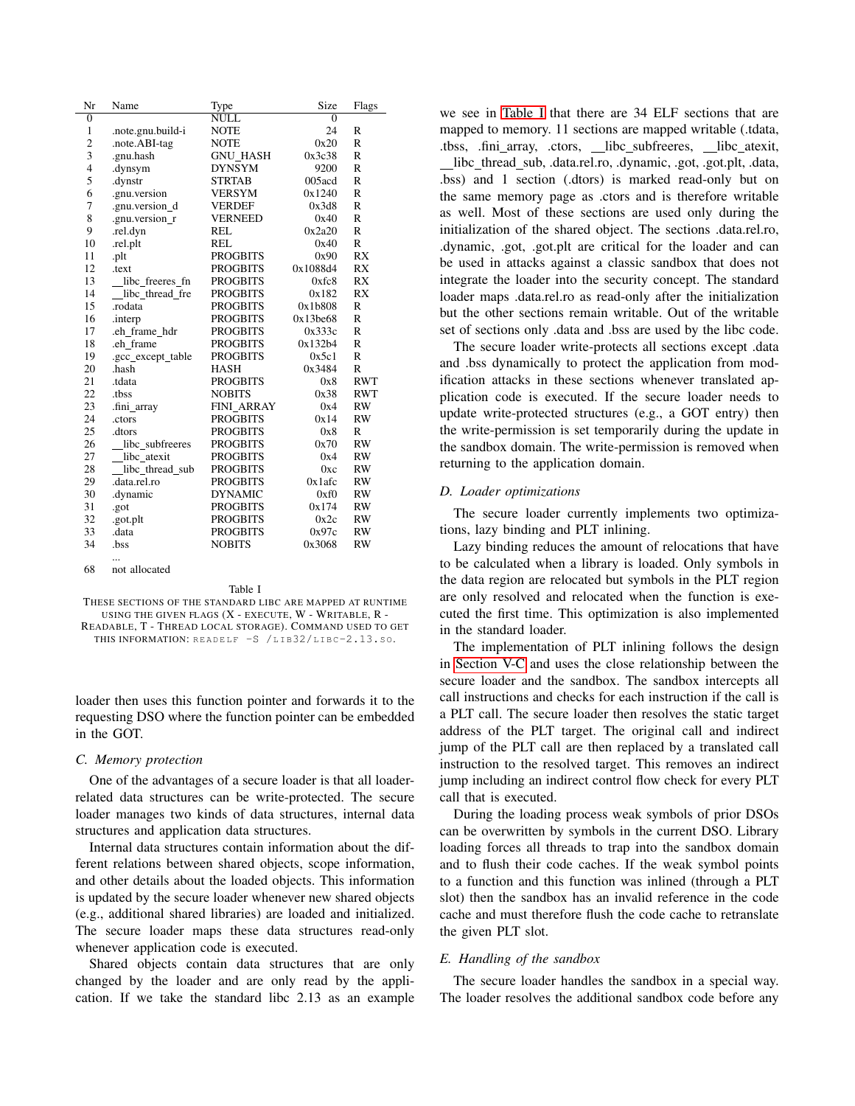| Nr                      | Name              | Type              | Size      | Flags        |
|-------------------------|-------------------|-------------------|-----------|--------------|
| $\overline{0}$          |                   | <b>NULL</b>       | $\theta$  |              |
| $\mathbf{1}$            | .note.gnu.build-i | <b>NOTE</b>       | 24        | R            |
| $\overline{\mathbf{c}}$ | .note.ABI-tag     | <b>NOTE</b>       | 0x20      | R            |
| 3                       | .gnu.hash         | <b>GNU HASH</b>   | 0x3c38    | R            |
| $\overline{4}$          | .dynsym           | <b>DYNSYM</b>     | 9200      | R            |
| 5                       | .dynstr           | <b>STRTAB</b>     | 005acd    | R            |
| 6                       | .gnu.version      | <b>VERSYM</b>     | 0x1240    | R            |
| 7                       | .gnu.version_d    | <b>VERDEF</b>     | 0x3d8     | R            |
| 8                       | .gnu.version_r    | <b>VERNEED</b>    | 0x40      | R            |
| 9                       | .rel.dyn          | REL               | 0x2a20    | R            |
| 10                      | .rel.plt          | <b>REL</b>        | 0x40      | $\mathbb{R}$ |
| 11                      | .plt              | <b>PROGBITS</b>   | 0x90      | <b>RX</b>    |
| 12                      | .text             | <b>PROGBITS</b>   | 0x1088d4  | <b>RX</b>    |
| 13                      | libc_freeres_fn   | <b>PROGBITS</b>   | 0xfc8     | <b>RX</b>    |
| 14                      | libc thread fre   | <b>PROGBITS</b>   | 0x182     | <b>RX</b>    |
| 15                      | .rodata           | <b>PROGBITS</b>   | 0x1b808   | R            |
| 16                      | .interp           | <b>PROGBITS</b>   | 0x13be68  | R            |
| 17                      | .eh frame hdr     | <b>PROGBITS</b>   | 0x333c    | R            |
| 18                      | .eh frame         | <b>PROGBITS</b>   | 0x132b4   | R            |
| 19                      | .gcc_except_table | <b>PROGBITS</b>   | 0x5c1     | R            |
| 20                      | .hash             | <b>HASH</b>       | 0x3484    | R            |
| 21                      | .tdata            | <b>PROGBITS</b>   | 0x8       | <b>RWT</b>   |
| 22                      | .tbss             | <b>NOBITS</b>     | 0x38      | <b>RWT</b>   |
| 23                      | .fini_array       | <b>FINI_ARRAY</b> | 0x4       | <b>RW</b>    |
| 24                      | .ctors            | <b>PROGBITS</b>   | 0x14      | <b>RW</b>    |
| 25                      | .dtors            | <b>PROGBITS</b>   | 0x8       | R            |
| 26                      | libc_subfreeres   | <b>PROGBITS</b>   | 0x70      | <b>RW</b>    |
| 27                      | libc_atexit       | <b>PROGBITS</b>   | 0x4       | <b>RW</b>    |
| 28                      | libc_thread_sub   | <b>PROGBITS</b>   | 0xc       | <b>RW</b>    |
| 29                      | .data.rel.ro      | <b>PROGBITS</b>   | $0x1$ afc | <b>RW</b>    |
| 30                      | .dynamic          | <b>DYNAMIC</b>    | 0xf0      | <b>RW</b>    |
| 31                      | .got              | <b>PROGBITS</b>   | 0x174     | <b>RW</b>    |
| 32                      | .got.plt          | <b>PROGBITS</b>   | 0x2c      | RW           |
| 33                      | .data             | <b>PROGBITS</b>   | 0x97c     | <b>RW</b>    |
| 34                      | .bss              | <b>NOBITS</b>     | 0x3068    | <b>RW</b>    |
|                         |                   |                   |           |              |
| 68                      | not allocated     |                   |           |              |

#### Table I

<span id="page-8-0"></span>THESE SECTIONS OF THE STANDARD LIBC ARE MAPPED AT RUNTIME USING THE GIVEN FLAGS (X - EXECUTE, W - WRITABLE, R - READABLE, T - THREAD LOCAL STORAGE). COMMAND USED TO GET THIS INFORMATION: READELF  $-S$  /LIB32/LIBC-2.13.SO.

loader then uses this function pointer and forwards it to the requesting DSO where the function pointer can be embedded in the GOT.

#### <span id="page-8-2"></span>*C. Memory protection*

One of the advantages of a secure loader is that all loaderrelated data structures can be write-protected. The secure loader manages two kinds of data structures, internal data structures and application data structures.

Internal data structures contain information about the different relations between shared objects, scope information, and other details about the loaded objects. This information is updated by the secure loader whenever new shared objects (e.g., additional shared libraries) are loaded and initialized. The secure loader maps these data structures read-only whenever application code is executed.

Shared objects contain data structures that are only changed by the loader and are only read by the application. If we take the standard libc 2.13 as an example we see in [Table I](#page-8-0) that there are 34 ELF sections that are mapped to memory. 11 sections are mapped writable (.tdata, .tbss, .fini\_array, .ctors, \_libc\_subfreeres, \_libc\_atexit, libc thread sub, .data.rel.ro, .dynamic, .got, .got.plt, .data, .bss) and 1 section (.dtors) is marked read-only but on the same memory page as .ctors and is therefore writable as well. Most of these sections are used only during the initialization of the shared object. The sections .data.rel.ro, .dynamic, .got, .got.plt are critical for the loader and can be used in attacks against a classic sandbox that does not integrate the loader into the security concept. The standard loader maps .data.rel.ro as read-only after the initialization but the other sections remain writable. Out of the writable set of sections only .data and .bss are used by the libc code.

The secure loader write-protects all sections except .data and .bss dynamically to protect the application from modification attacks in these sections whenever translated application code is executed. If the secure loader needs to update write-protected structures (e.g., a GOT entry) then the write-permission is set temporarily during the update in the sandbox domain. The write-permission is removed when returning to the application domain.

#### <span id="page-8-1"></span>*D. Loader optimizations*

The secure loader currently implements two optimizations, lazy binding and PLT inlining.

Lazy binding reduces the amount of relocations that have to be calculated when a library is loaded. Only symbols in the data region are relocated but symbols in the PLT region are only resolved and relocated when the function is executed the first time. This optimization is also implemented in the standard loader.

The implementation of PLT inlining follows the design in [Section V-C](#page-6-1) and uses the close relationship between the secure loader and the sandbox. The sandbox intercepts all call instructions and checks for each instruction if the call is a PLT call. The secure loader then resolves the static target address of the PLT target. The original call and indirect jump of the PLT call are then replaced by a translated call instruction to the resolved target. This removes an indirect jump including an indirect control flow check for every PLT call that is executed.

During the loading process weak symbols of prior DSOs can be overwritten by symbols in the current DSO. Library loading forces all threads to trap into the sandbox domain and to flush their code caches. If the weak symbol points to a function and this function was inlined (through a PLT slot) then the sandbox has an invalid reference in the code cache and must therefore flush the code cache to retranslate the given PLT slot.

#### *E. Handling of the sandbox*

The secure loader handles the sandbox in a special way. The loader resolves the additional sandbox code before any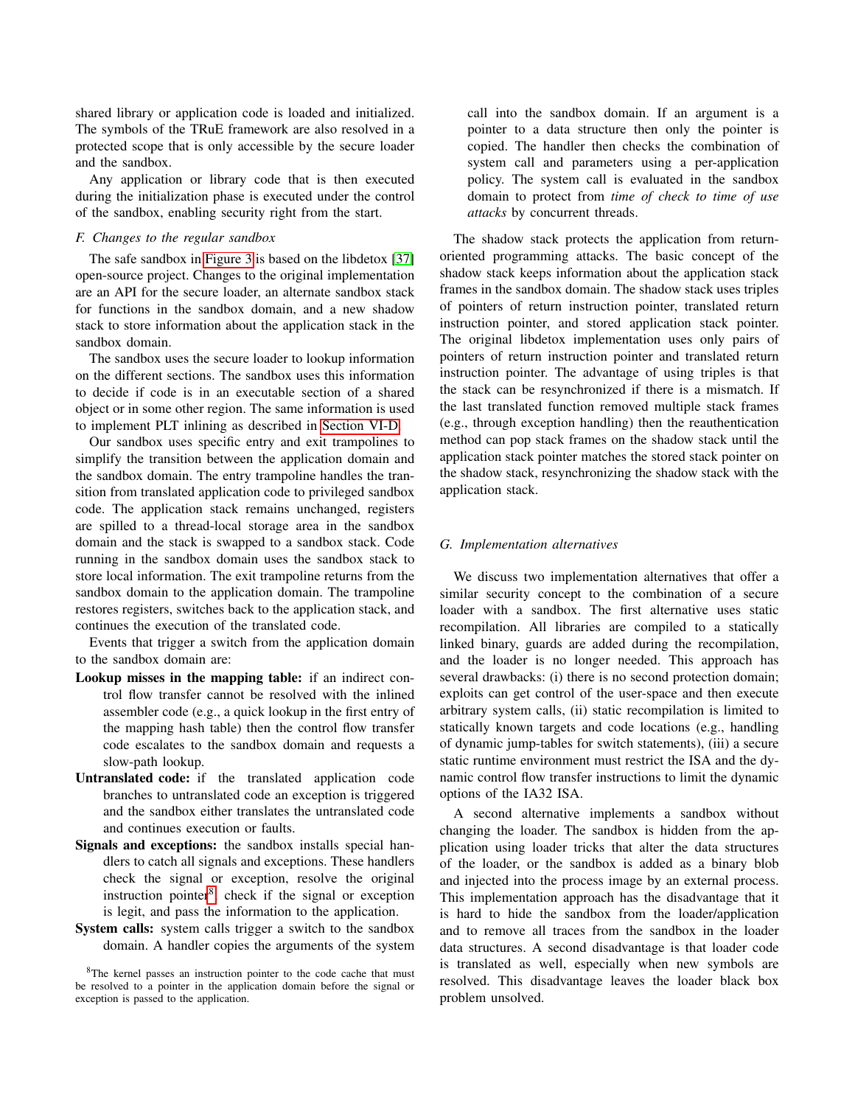shared library or application code is loaded and initialized. The symbols of the TRuE framework are also resolved in a protected scope that is only accessible by the secure loader and the sandbox.

Any application or library code that is then executed during the initialization phase is executed under the control of the sandbox, enabling security right from the start.

#### *F. Changes to the regular sandbox*

The safe sandbox in [Figure 3](#page-4-1) is based on the libdetox [\[37\]](#page-14-4) open-source project. Changes to the original implementation are an API for the secure loader, an alternate sandbox stack for functions in the sandbox domain, and a new shadow stack to store information about the application stack in the sandbox domain.

The sandbox uses the secure loader to lookup information on the different sections. The sandbox uses this information to decide if code is in an executable section of a shared object or in some other region. The same information is used to implement PLT inlining as described in [Section VI-D.](#page-8-1)

Our sandbox uses specific entry and exit trampolines to simplify the transition between the application domain and the sandbox domain. The entry trampoline handles the transition from translated application code to privileged sandbox code. The application stack remains unchanged, registers are spilled to a thread-local storage area in the sandbox domain and the stack is swapped to a sandbox stack. Code running in the sandbox domain uses the sandbox stack to store local information. The exit trampoline returns from the sandbox domain to the application domain. The trampoline restores registers, switches back to the application stack, and continues the execution of the translated code.

Events that trigger a switch from the application domain to the sandbox domain are:

- Lookup misses in the mapping table: if an indirect control flow transfer cannot be resolved with the inlined assembler code (e.g., a quick lookup in the first entry of the mapping hash table) then the control flow transfer code escalates to the sandbox domain and requests a slow-path lookup.
- Untranslated code: if the translated application code branches to untranslated code an exception is triggered and the sandbox either translates the untranslated code and continues execution or faults.
- Signals and exceptions: the sandbox installs special handlers to catch all signals and exceptions. These handlers check the signal or exception, resolve the original instruction pointer<sup>[8](#page-9-0)</sup>, check if the signal or exception is legit, and pass the information to the application.
- System calls: system calls trigger a switch to the sandbox domain. A handler copies the arguments of the system

call into the sandbox domain. If an argument is a pointer to a data structure then only the pointer is copied. The handler then checks the combination of system call and parameters using a per-application policy. The system call is evaluated in the sandbox domain to protect from *time of check to time of use attacks* by concurrent threads.

The shadow stack protects the application from returnoriented programming attacks. The basic concept of the shadow stack keeps information about the application stack frames in the sandbox domain. The shadow stack uses triples of pointers of return instruction pointer, translated return instruction pointer, and stored application stack pointer. The original libdetox implementation uses only pairs of pointers of return instruction pointer and translated return instruction pointer. The advantage of using triples is that the stack can be resynchronized if there is a mismatch. If the last translated function removed multiple stack frames (e.g., through exception handling) then the reauthentication method can pop stack frames on the shadow stack until the application stack pointer matches the stored stack pointer on the shadow stack, resynchronizing the shadow stack with the application stack.

#### *G. Implementation alternatives*

We discuss two implementation alternatives that offer a similar security concept to the combination of a secure loader with a sandbox. The first alternative uses static recompilation. All libraries are compiled to a statically linked binary, guards are added during the recompilation, and the loader is no longer needed. This approach has several drawbacks: (i) there is no second protection domain; exploits can get control of the user-space and then execute arbitrary system calls, (ii) static recompilation is limited to statically known targets and code locations (e.g., handling of dynamic jump-tables for switch statements), (iii) a secure static runtime environment must restrict the ISA and the dynamic control flow transfer instructions to limit the dynamic options of the IA32 ISA.

A second alternative implements a sandbox without changing the loader. The sandbox is hidden from the application using loader tricks that alter the data structures of the loader, or the sandbox is added as a binary blob and injected into the process image by an external process. This implementation approach has the disadvantage that it is hard to hide the sandbox from the loader/application and to remove all traces from the sandbox in the loader data structures. A second disadvantage is that loader code is translated as well, especially when new symbols are resolved. This disadvantage leaves the loader black box problem unsolved.

<span id="page-9-0"></span><sup>&</sup>lt;sup>8</sup>The kernel passes an instruction pointer to the code cache that must be resolved to a pointer in the application domain before the signal or exception is passed to the application.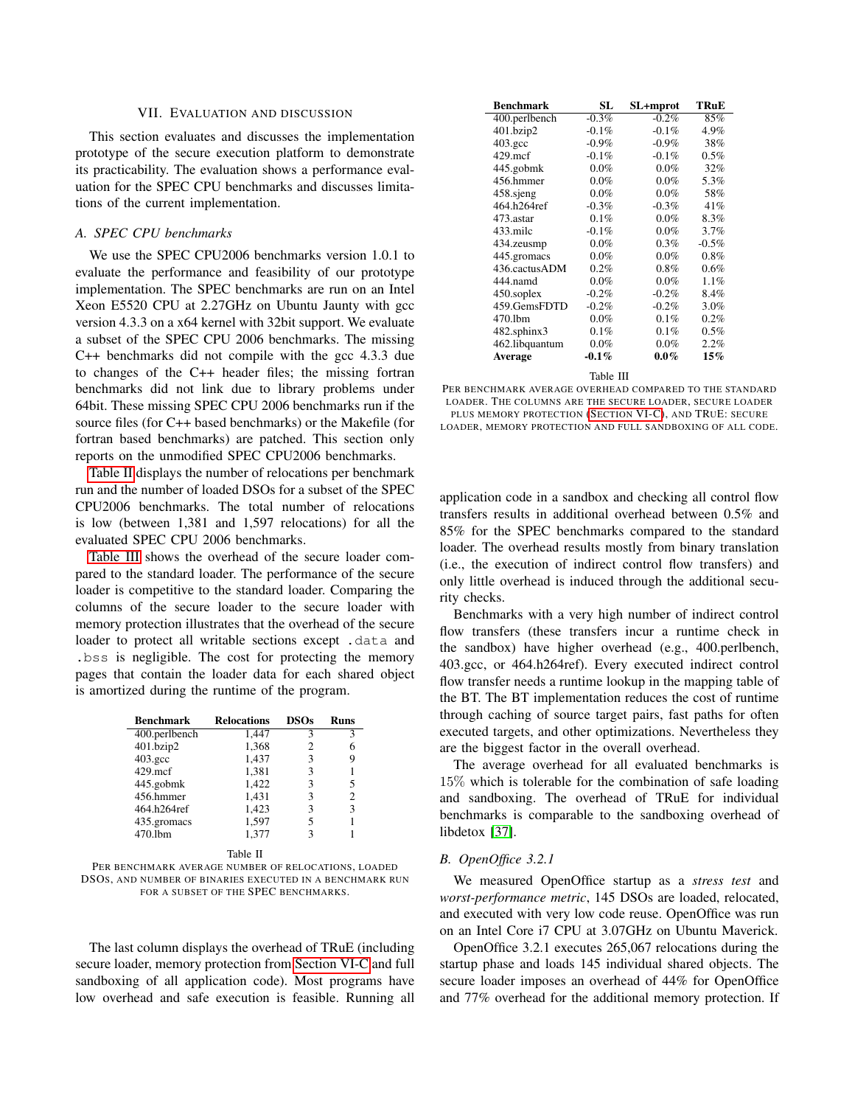#### VII. EVALUATION AND DISCUSSION

<span id="page-10-0"></span>This section evaluates and discusses the implementation prototype of the secure execution platform to demonstrate its practicability. The evaluation shows a performance evaluation for the SPEC CPU benchmarks and discusses limitations of the current implementation.

## *A. SPEC CPU benchmarks*

We use the SPEC CPU2006 benchmarks version 1.0.1 to evaluate the performance and feasibility of our prototype implementation. The SPEC benchmarks are run on an Intel Xeon E5520 CPU at 2.27GHz on Ubuntu Jaunty with gcc version 4.3.3 on a x64 kernel with 32bit support. We evaluate a subset of the SPEC CPU 2006 benchmarks. The missing C++ benchmarks did not compile with the gcc 4.3.3 due to changes of the C++ header files; the missing fortran benchmarks did not link due to library problems under 64bit. These missing SPEC CPU 2006 benchmarks run if the source files (for C++ based benchmarks) or the Makefile (for fortran based benchmarks) are patched. This section only reports on the unmodified SPEC CPU2006 benchmarks.

[Table II](#page-10-1) displays the number of relocations per benchmark run and the number of loaded DSOs for a subset of the SPEC CPU2006 benchmarks. The total number of relocations is low (between 1,381 and 1,597 relocations) for all the evaluated SPEC CPU 2006 benchmarks.

[Table III](#page-10-2) shows the overhead of the secure loader compared to the standard loader. The performance of the secure loader is competitive to the standard loader. Comparing the columns of the secure loader to the secure loader with memory protection illustrates that the overhead of the secure loader to protect all writable sections except .data and .bss is negligible. The cost for protecting the memory pages that contain the loader data for each shared object is amortized during the runtime of the program.

| Benchmark        | <b>Relocations</b> | <b>DSOs</b> | Runs |  |  |
|------------------|--------------------|-------------|------|--|--|
| 400.perlbench    | 1,447              | 3           | 3    |  |  |
| 401.bzip2        | 1,368              | 2           |      |  |  |
| $403.\text{gcc}$ | 1,437              | 3           | Q    |  |  |
| $429$ .mcf       | 1,381              | 3           |      |  |  |
| 445.gobmk        | 1,422              | 3           | 5    |  |  |
| 456.hmmer        | 1,431              | 3           | 2    |  |  |
| 464.h264ref      | 1,423              | 3           | 3    |  |  |
| 435.gromacs      | 1,597              | 5           |      |  |  |
| 470.lbm          | 1,377              | ٩           |      |  |  |

Table II

<span id="page-10-1"></span>PER BENCHMARK AVERAGE NUMBER OF RELOCATIONS, LOADED DSOS, AND NUMBER OF BINARIES EXECUTED IN A BENCHMARK RUN FOR A SUBSET OF THE SPEC BENCHMARKS.

The last column displays the overhead of TRuE (including secure loader, memory protection from [Section VI-C](#page-8-2) and full sandboxing of all application code). Most programs have low overhead and safe execution is feasible. Running all

| <b>Benchmark</b> | SL       | SL+mprot | TRuE    |  |  |  |
|------------------|----------|----------|---------|--|--|--|
| 400.perlbench    | $-0.3%$  | $-0.2%$  | 85%     |  |  |  |
| 401.bzip2        | $-0.1%$  | $-0.1%$  | 4.9%    |  |  |  |
| $403.\text{gcc}$ | $-0.9\%$ | $-0.9\%$ | 38%     |  |  |  |
| $429$ mcf        | $-0.1%$  | $-0.1%$  | 0.5%    |  |  |  |
| 445.gobmk        | $0.0\%$  | $0.0\%$  | 32%     |  |  |  |
| 456.hmmer        | $0.0\%$  | $0.0\%$  | 5.3%    |  |  |  |
| 458.sjeng        | $0.0\%$  | $0.0\%$  | 58%     |  |  |  |
| 464.h264ref      | $-0.3%$  | $-0.3%$  | 41%     |  |  |  |
| 473 astar        | $0.1\%$  | $0.0\%$  | 8.3%    |  |  |  |
| 433 mile         | $-0.1\%$ | $0.0\%$  | 3.7%    |  |  |  |
| 434.zeusmp       | $0.0\%$  | 0.3%     | $-0.5%$ |  |  |  |
| 445.gromacs      | $0.0\%$  | $0.0\%$  | 0.8%    |  |  |  |
| 436.cactusADM    | 0.2%     | 0.8%     | 0.6%    |  |  |  |
| 444.namd         | $0.0\%$  | $0.0\%$  | 1.1%    |  |  |  |
| 450.soplex       | $-0.2%$  | $-0.2%$  | 8.4%    |  |  |  |
| 459.GemsFDTD     | $-0.2%$  | $-0.2%$  | 3.0%    |  |  |  |
| 470.1bm          | $0.0\%$  | 0.1%     | 0.2%    |  |  |  |
| 482.sphinx3      | 0.1%     | 0.1%     | 0.5%    |  |  |  |
| 462.libquantum   | $0.0\%$  | $0.0\%$  | 2.2%    |  |  |  |
| Average          | $-0.1\%$ | $0.0\%$  | 15%     |  |  |  |

#### Table III

<span id="page-10-2"></span>PER BENCHMARK AVERAGE OVERHEAD COMPARED TO THE STANDARD LOADER. THE COLUMNS ARE THE SECURE LOADER, SECURE LOADER PLUS MEMORY PROTECTION (S[ECTION](#page-8-2) VI-C), AND TRUE: SECURE

LOADER, MEMORY PROTECTION AND FULL SANDBOXING OF ALL CODE.

application code in a sandbox and checking all control flow transfers results in additional overhead between 0.5% and 85% for the SPEC benchmarks compared to the standard loader. The overhead results mostly from binary translation (i.e., the execution of indirect control flow transfers) and only little overhead is induced through the additional security checks.

Benchmarks with a very high number of indirect control flow transfers (these transfers incur a runtime check in the sandbox) have higher overhead (e.g., 400.perlbench, 403.gcc, or 464.h264ref). Every executed indirect control flow transfer needs a runtime lookup in the mapping table of the BT. The BT implementation reduces the cost of runtime through caching of source target pairs, fast paths for often executed targets, and other optimizations. Nevertheless they are the biggest factor in the overall overhead.

The average overhead for all evaluated benchmarks is 15% which is tolerable for the combination of safe loading and sandboxing. The overhead of TRuE for individual benchmarks is comparable to the sandboxing overhead of libdetox [\[37\]](#page-14-4).

## *B. OpenOffice 3.2.1*

We measured OpenOffice startup as a *stress test* and *worst-performance metric*, 145 DSOs are loaded, relocated, and executed with very low code reuse. OpenOffice was run on an Intel Core i7 CPU at 3.07GHz on Ubuntu Maverick.

OpenOffice 3.2.1 executes 265,067 relocations during the startup phase and loads 145 individual shared objects. The secure loader imposes an overhead of 44% for OpenOffice and 77% overhead for the additional memory protection. If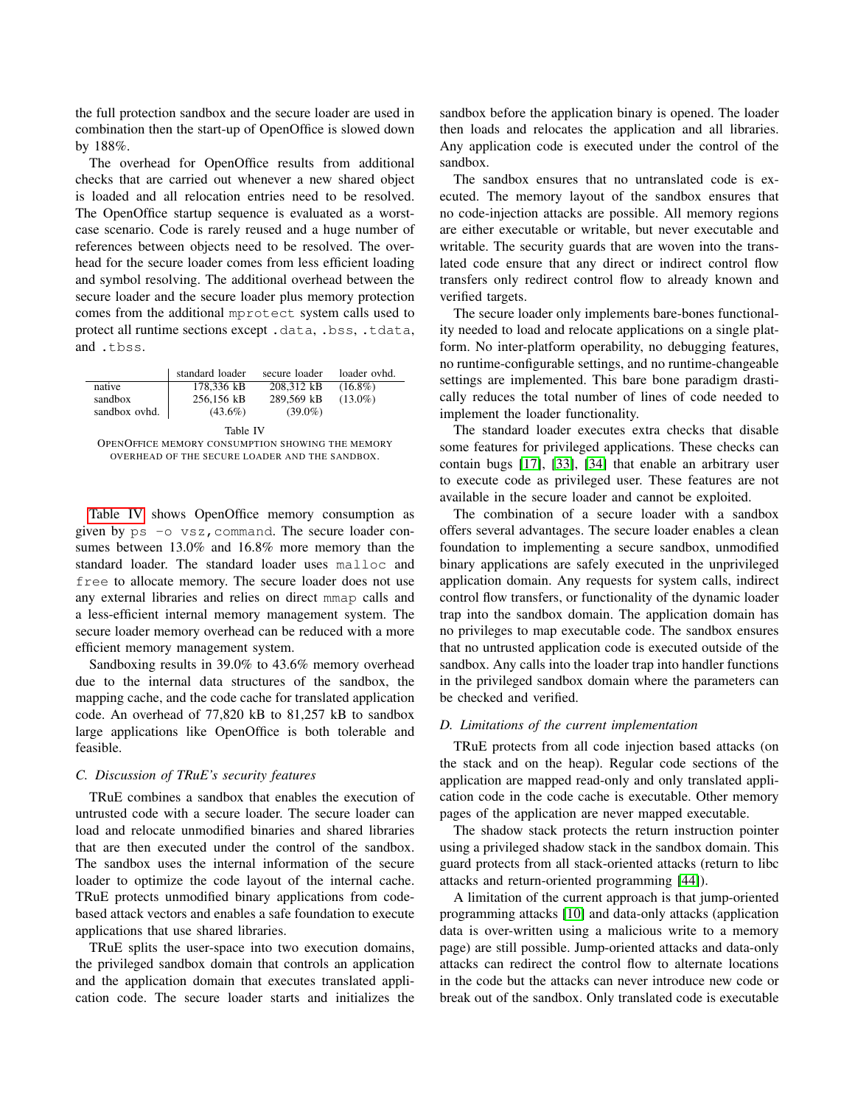the full protection sandbox and the secure loader are used in combination then the start-up of OpenOffice is slowed down by 188%.

The overhead for OpenOffice results from additional checks that are carried out whenever a new shared object is loaded and all relocation entries need to be resolved. The OpenOffice startup sequence is evaluated as a worstcase scenario. Code is rarely reused and a huge number of references between objects need to be resolved. The overhead for the secure loader comes from less efficient loading and symbol resolving. The additional overhead between the secure loader and the secure loader plus memory protection comes from the additional mprotect system calls used to protect all runtime sections except .data, .bss, .tdata, and .tbss.

|               | standard loader | secure loader | loader ovhd. |
|---------------|-----------------|---------------|--------------|
| native        | 178.336 kB      | 208.312 kB    | $(16.8\%)$   |
| sandbox       | 256.156 kB      | 289.569 kB    | $(13.0\%)$   |
| sandbox ovhd. | $(43.6\%)$      | $(39.0\%)$    |              |

Table IV

<span id="page-11-0"></span>OPENOFFICE MEMORY CONSUMPTION SHOWING THE MEMORY OVERHEAD OF THE SECURE LOADER AND THE SANDBOX.

[Table IV](#page-11-0) shows OpenOffice memory consumption as given by  $ps -o$  vsz, command. The secure loader consumes between 13.0% and 16.8% more memory than the standard loader. The standard loader uses malloc and free to allocate memory. The secure loader does not use any external libraries and relies on direct mmap calls and a less-efficient internal memory management system. The secure loader memory overhead can be reduced with a more efficient memory management system.

Sandboxing results in 39.0% to 43.6% memory overhead due to the internal data structures of the sandbox, the mapping cache, and the code cache for translated application code. An overhead of 77,820 kB to 81,257 kB to sandbox large applications like OpenOffice is both tolerable and feasible.

## *C. Discussion of TRuE's security features*

TRuE combines a sandbox that enables the execution of untrusted code with a secure loader. The secure loader can load and relocate unmodified binaries and shared libraries that are then executed under the control of the sandbox. The sandbox uses the internal information of the secure loader to optimize the code layout of the internal cache. TRuE protects unmodified binary applications from codebased attack vectors and enables a safe foundation to execute applications that use shared libraries.

TRuE splits the user-space into two execution domains, the privileged sandbox domain that controls an application and the application domain that executes translated application code. The secure loader starts and initializes the sandbox before the application binary is opened. The loader then loads and relocates the application and all libraries. Any application code is executed under the control of the sandbox.

The sandbox ensures that no untranslated code is executed. The memory layout of the sandbox ensures that no code-injection attacks are possible. All memory regions are either executable or writable, but never executable and writable. The security guards that are woven into the translated code ensure that any direct or indirect control flow transfers only redirect control flow to already known and verified targets.

The secure loader only implements bare-bones functionality needed to load and relocate applications on a single platform. No inter-platform operability, no debugging features, no runtime-configurable settings, and no runtime-changeable settings are implemented. This bare bone paradigm drastically reduces the total number of lines of code needed to implement the loader functionality.

The standard loader executes extra checks that disable some features for privileged applications. These checks can contain bugs [\[17\]](#page-14-8), [\[33\]](#page-14-10), [\[34\]](#page-14-9) that enable an arbitrary user to execute code as privileged user. These features are not available in the secure loader and cannot be exploited.

The combination of a secure loader with a sandbox offers several advantages. The secure loader enables a clean foundation to implementing a secure sandbox, unmodified binary applications are safely executed in the unprivileged application domain. Any requests for system calls, indirect control flow transfers, or functionality of the dynamic loader trap into the sandbox domain. The application domain has no privileges to map executable code. The sandbox ensures that no untrusted application code is executed outside of the sandbox. Any calls into the loader trap into handler functions in the privileged sandbox domain where the parameters can be checked and verified.

#### *D. Limitations of the current implementation*

TRuE protects from all code injection based attacks (on the stack and on the heap). Regular code sections of the application are mapped read-only and only translated application code in the code cache is executable. Other memory pages of the application are never mapped executable.

The shadow stack protects the return instruction pointer using a privileged shadow stack in the sandbox domain. This guard protects from all stack-oriented attacks (return to libc attacks and return-oriented programming [\[44\]](#page-14-14)).

A limitation of the current approach is that jump-oriented programming attacks [\[10\]](#page-13-3) and data-only attacks (application data is over-written using a malicious write to a memory page) are still possible. Jump-oriented attacks and data-only attacks can redirect the control flow to alternate locations in the code but the attacks can never introduce new code or break out of the sandbox. Only translated code is executable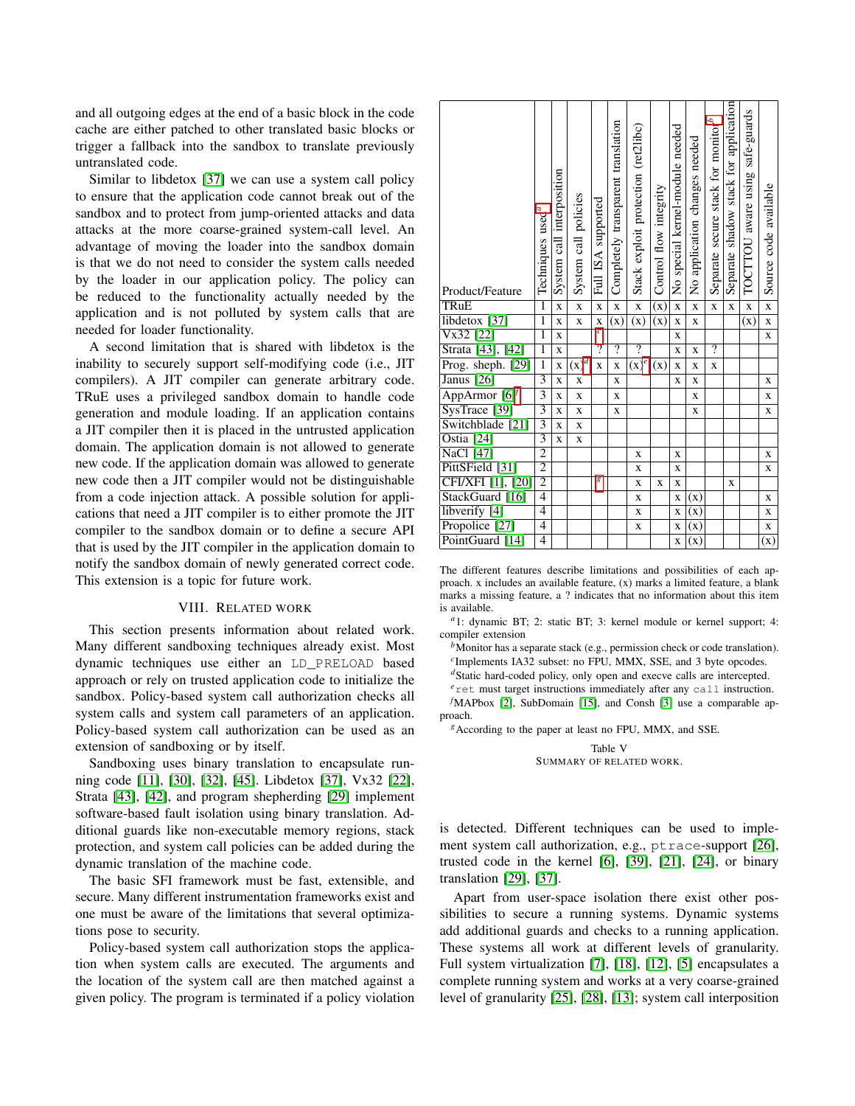and all outgoing edges at the end of a basic block in the code cache are either patched to other translated basic blocks or trigger a fallback into the sandbox to translate previously untranslated code.

Similar to libdetox [\[37\]](#page-14-4) we can use a system call policy to ensure that the application code cannot break out of the sandbox and to protect from jump-oriented attacks and data attacks at the more coarse-grained system-call level. An advantage of moving the loader into the sandbox domain is that we do not need to consider the system calls needed by the loader in our application policy. The policy can be reduced to the functionality actually needed by the application and is not polluted by system calls that are needed for loader functionality.

A second limitation that is shared with libdetox is the inability to securely support self-modifying code (i.e., JIT compilers). A JIT compiler can generate arbitrary code. TRuE uses a privileged sandbox domain to handle code generation and module loading. If an application contains a JIT compiler then it is placed in the untrusted application domain. The application domain is not allowed to generate new code. If the application domain was allowed to generate new code then a JIT compiler would not be distinguishable from a code injection attack. A possible solution for applications that need a JIT compiler is to either promote the JIT compiler to the sandbox domain or to define a secure API that is used by the JIT compiler in the application domain to notify the sandbox domain of newly generated correct code. This extension is a topic for future work.

#### VIII. RELATED WORK

<span id="page-12-0"></span>This section presents information about related work. Many different sandboxing techniques already exist. Most dynamic techniques use either an LD\_PRELOAD based approach or rely on trusted application code to initialize the sandbox. Policy-based system call authorization checks all system calls and system call parameters of an application. Policy-based system call authorization can be used as an extension of sandboxing or by itself.

Sandboxing uses binary translation to encapsulate running code [\[11\]](#page-13-4), [\[30\]](#page-14-22), [\[32\]](#page-14-23), [\[45\]](#page-14-17). Libdetox [\[37\]](#page-14-4), Vx32 [\[22\]](#page-14-3), Strata [\[43\]](#page-14-1), [\[42\]](#page-14-2), and program shepherding [\[29\]](#page-14-0) implement software-based fault isolation using binary translation. Additional guards like non-executable memory regions, stack protection, and system call policies can be added during the dynamic translation of the machine code.

The basic SFI framework must be fast, extensible, and secure. Many different instrumentation frameworks exist and one must be aware of the limitations that several optimizations pose to security.

Policy-based system call authorization stops the application when system calls are executed. The arguments and the location of the system call are then matched against a given policy. The program is terminated if a policy violation

| Product/Feature          | Techniques used <sup>a</sup> | System call interposition | System call policies                     | Full ISA supported | Completely transparent translation | Stack exploit protection (ret2libc) | Control flow integrity | No special kernel-module needed | No application changes needed | Separate secure stack for monitor <sup>0</sup> | Separate shadow stack for application | TOCTTOU aware using safe-guards | $\times$   $\times$   Source code available |
|--------------------------|------------------------------|---------------------------|------------------------------------------|--------------------|------------------------------------|-------------------------------------|------------------------|---------------------------------|-------------------------------|------------------------------------------------|---------------------------------------|---------------------------------|---------------------------------------------|
| TRuE                     | $\overline{1}$               | $\overline{\mathbf{x}}$   | $\overline{\mathbf{x}}$                  | $\mathbf X$        | $\overline{\mathbf{x}}$            | $\overline{\mathbf{x}}$             | $\overline{(x)}$       | $\overline{\mathbf{x}}$         | $\overline{\mathbf{x}}$       | $\overline{\mathbf{x}}$                        | $\bar{\mathbf{X}}$                    | $\overline{\mathbf{x}}$         |                                             |
| libdetox <sup>[37]</sup> | $\overline{1}$               | $\bar{\mathbf{x}}$        | $\overline{\mathbf{X}}$                  | $\bf{X}$           | $\overline{(\mathbf{x})}$          | $\overline{(\mathbf{x})}$           | $\overline{(x)}$       | $\overline{\mathbf{x}}$         | $\bf{X}$                      |                                                |                                       | $\overline{(x)}$                |                                             |
| $Vx32$ [22]              | 1                            | $\mathbf x$               |                                          | $\overline{c}$     |                                    |                                     |                        | $\mathbf X$                     |                               |                                                |                                       |                                 | $\mathbf X$                                 |
| Strata [43], [42]        | $\overline{1}$               | $\bar{\mathbf{x}}$        |                                          | 7                  | 7                                  | $\overline{?}$                      |                        | X                               | $\overline{\mathbf{X}}$       | $\overline{?}$                                 |                                       |                                 |                                             |
| Prog. sheph. [29]        | $\mathbf{1}$                 | $\mathbf x$               | $\left(\mathbf{x}\right)^{\overline{d}}$ | $\mathbf X$        | X                                  | $(x)^e$                             | (x)                    | X                               | $\mathbf X$                   | $\mathbf X$                                    |                                       |                                 |                                             |
| Janus $[26]$             | $\overline{\overline{3}}$    | $\overline{\mathbf{x}}$   | $\mathbf x$                              |                    | $\overline{\mathbf{X}}$            |                                     |                        | $\bar{\mathbf{X}}$              | $\overline{\mathbf{X}}$       |                                                |                                       |                                 | $\mathbf X$                                 |
| AppArmor $[6]^{f}$       | 3                            | $\mathbf X$               | $\mathbf X$                              |                    | $\mathbf X$                        |                                     |                        |                                 | $\mathbf X$                   |                                                |                                       |                                 | $\mathbf X$                                 |
| SysTrace [39]            | $\overline{\mathbf{3}}$      | $\mathbf x$               | $\mathbf X$                              |                    | X                                  |                                     |                        |                                 | $\mathbf X$                   |                                                |                                       |                                 | X                                           |
| Switchblade [21]         | $\overline{3}$               | $\bf{X}$                  | $\mathbf X$                              |                    |                                    |                                     |                        |                                 |                               |                                                |                                       |                                 |                                             |
| Ostia <sup>[24]</sup>    | $\overline{3}$               | $\bf{X}$                  | $\mathbf X$                              |                    |                                    |                                     |                        |                                 |                               |                                                |                                       |                                 |                                             |
| NaCl [47]                | $\overline{2}$               |                           |                                          |                    |                                    | $\mathbf X$                         |                        | $\mathbf x$                     |                               |                                                |                                       |                                 | $\mathbf X$                                 |
| PittSField [31]          | $\overline{2}$               |                           |                                          |                    |                                    | $\mathbf X$                         |                        | $\mathbf x$                     |                               |                                                |                                       |                                 | X                                           |
| CFI/XFI [1], [20]        | $\overline{2}$               |                           |                                          | g                  |                                    | $\mathbf X$                         | X                      | $\mathbf X$                     |                               |                                                | X                                     |                                 |                                             |
| StackGuard [16]          | $\overline{4}$               |                           |                                          |                    |                                    | $\mathbf X$                         |                        | $\overline{\mathbf{X}}$         | (x)                           |                                                |                                       |                                 | $\mathbf X$                                 |
| libverify [4]            | $\overline{4}$               |                           |                                          |                    |                                    | $\mathbf X$                         |                        | X                               | (x)                           |                                                |                                       |                                 | $\mathbf X$                                 |
| Propolice [27]           | $\overline{4}$               |                           |                                          |                    |                                    | $\mathbf X$                         |                        | $\mathbf x$                     | (x)                           |                                                |                                       |                                 | $\frac{x}{(x)}$                             |
| PointGuard [14]          | 4                            |                           |                                          |                    |                                    |                                     |                        | X                               | $\overline{(x)}$              |                                                |                                       |                                 |                                             |

The different features describe limitations and possibilities of each approach. x includes an available feature, (x) marks a limited feature, a blank marks a missing feature, a ? indicates that no information about this item is available.

<span id="page-12-1"></span>*<sup>a</sup>*1: dynamic BT; 2: static BT; 3: kernel module or kernel support; 4: compiler extension

<span id="page-12-3"></span><span id="page-12-2"></span>*b*Monitor has a separate stack (e.g., permission check or code translation). *c* Implements IA32 subset: no FPU, MMX, SSE, and 3 byte opcodes.

<span id="page-12-4"></span>*<sup>d</sup>*Static hard-coded policy, only open and execve calls are intercepted.

<span id="page-12-6"></span><span id="page-12-5"></span>*<sup>e</sup>*ret must target instructions immediately after any call instruction.

*<sup>f</sup>*MAPbox [\[2\]](#page-13-9), SubDomain [\[15\]](#page-13-10), and Consh [\[3\]](#page-13-11) use a comparable approach.

<span id="page-12-8"></span><span id="page-12-7"></span><sup>g</sup>According to the paper at least no FPU, MMX, and SSE.

Table V SUMMARY OF RELATED WORK.

is detected. Different techniques can be used to implement system call authorization, e.g., ptrace-support [\[26\]](#page-14-24), trusted code in the kernel [\[6\]](#page-13-6), [\[39\]](#page-14-25), [\[21\]](#page-14-26), [\[24\]](#page-14-27), or binary translation [\[29\]](#page-14-0), [\[37\]](#page-14-4).

Apart from user-space isolation there exist other possibilities to secure a running systems. Dynamic systems add additional guards and checks to a running application. These systems all work at different levels of granularity. Full system virtualization [\[7\]](#page-13-12), [\[18\]](#page-14-29), [\[12\]](#page-13-13), [\[5\]](#page-13-14) encapsulates a complete running system and works at a very coarse-grained level of granularity [\[25\]](#page-14-30), [\[28\]](#page-14-31), [\[13\]](#page-13-15); system call interposition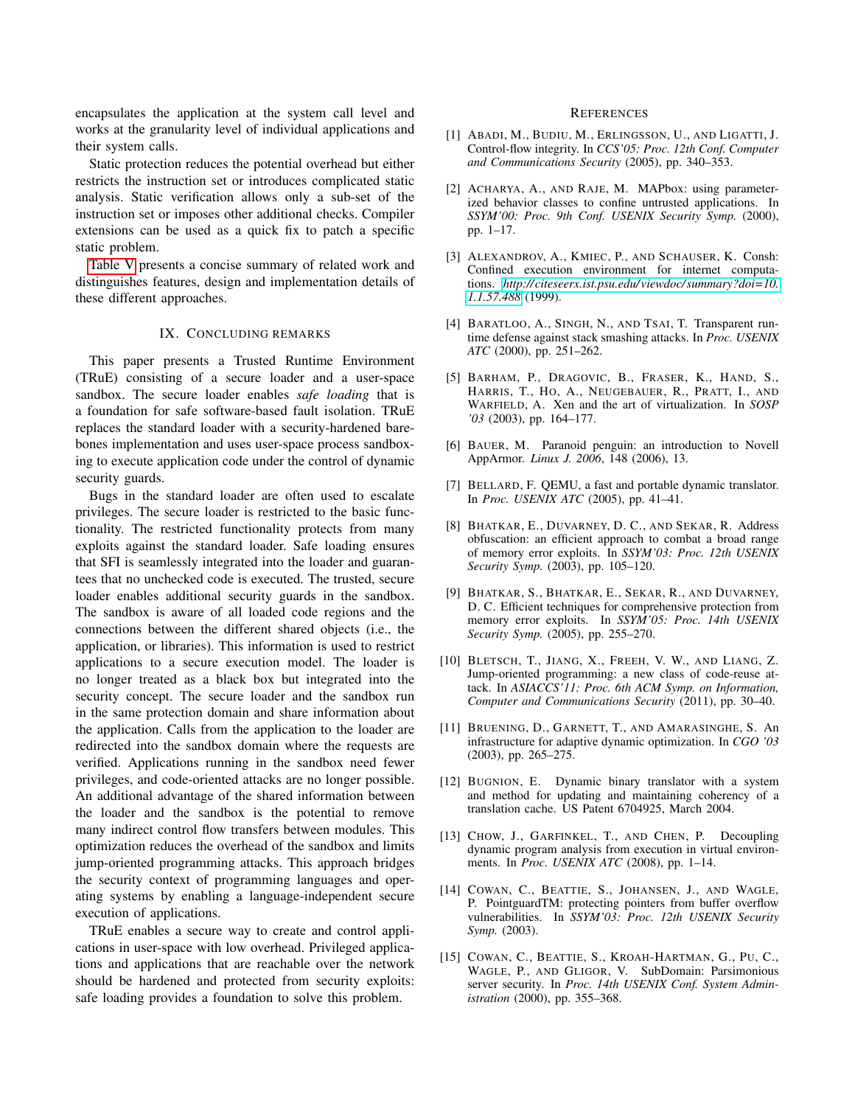encapsulates the application at the system call level and works at the granularity level of individual applications and their system calls.

Static protection reduces the potential overhead but either restricts the instruction set or introduces complicated static analysis. Static verification allows only a sub-set of the instruction set or imposes other additional checks. Compiler extensions can be used as a quick fix to patch a specific static problem.

[Table V](#page-12-8) presents a concise summary of related work and distinguishes features, design and implementation details of these different approaches.

#### IX. CONCLUDING REMARKS

<span id="page-13-2"></span>This paper presents a Trusted Runtime Environment (TRuE) consisting of a secure loader and a user-space sandbox. The secure loader enables *safe loading* that is a foundation for safe software-based fault isolation. TRuE replaces the standard loader with a security-hardened barebones implementation and uses user-space process sandboxing to execute application code under the control of dynamic security guards.

Bugs in the standard loader are often used to escalate privileges. The secure loader is restricted to the basic functionality. The restricted functionality protects from many exploits against the standard loader. Safe loading ensures that SFI is seamlessly integrated into the loader and guarantees that no unchecked code is executed. The trusted, secure loader enables additional security guards in the sandbox. The sandbox is aware of all loaded code regions and the connections between the different shared objects (i.e., the application, or libraries). This information is used to restrict applications to a secure execution model. The loader is no longer treated as a black box but integrated into the security concept. The secure loader and the sandbox run in the same protection domain and share information about the application. Calls from the application to the loader are redirected into the sandbox domain where the requests are verified. Applications running in the sandbox need fewer privileges, and code-oriented attacks are no longer possible. An additional advantage of the shared information between the loader and the sandbox is the potential to remove many indirect control flow transfers between modules. This optimization reduces the overhead of the sandbox and limits jump-oriented programming attacks. This approach bridges the security context of programming languages and operating systems by enabling a language-independent secure execution of applications.

TRuE enables a secure way to create and control applications in user-space with low overhead. Privileged applications and applications that are reachable over the network should be hardened and protected from security exploits: safe loading provides a foundation to solve this problem.

#### **REFERENCES**

- <span id="page-13-5"></span>[1] ABADI, M., BUDIU, M., ERLINGSSON, U., AND LIGATTI, J. Control-flow integrity. In *CCS'05: Proc. 12th Conf. Computer and Communications Security* (2005), pp. 340–353.
- <span id="page-13-9"></span>[2] ACHARYA, A., AND RAJE, M. MAPbox: using parameterized behavior classes to confine untrusted applications. In *SSYM'00: Proc. 9th Conf. USENIX Security Symp.* (2000), pp. 1–17.
- <span id="page-13-11"></span>[3] ALEXANDROV, A., KMIEC, P., AND SCHAUSER, K. Consh: Confined execution environment for internet computations. *[http://citeseerx.ist.psu.edu/viewdoc/ summary?doi=10.](http://citeseerx.ist.psu.edu/viewdoc/summary?doi=10.1.1.57.488) [1.1.57.488](http://citeseerx.ist.psu.edu/viewdoc/summary?doi=10.1.1.57.488)* (1999).
- <span id="page-13-7"></span>[4] BARATLOO, A., SINGH, N., AND TSAI, T. Transparent runtime defense against stack smashing attacks. In *Proc. USENIX ATC* (2000), pp. 251–262.
- <span id="page-13-14"></span>[5] BARHAM, P., DRAGOVIC, B., FRASER, K., HAND, S., HARRIS, T., HO, A., NEUGEBAUER, R., PRATT, I., AND WARFIELD, A. Xen and the art of virtualization. In *SOSP '03* (2003), pp. 164–177.
- <span id="page-13-6"></span>[6] BAUER, M. Paranoid penguin: an introduction to Novell AppArmor. *Linux J. 2006*, 148 (2006), 13.
- <span id="page-13-12"></span>[7] BELLARD, F. QEMU, a fast and portable dynamic translator. In *Proc. USENIX ATC* (2005), pp. 41–41.
- <span id="page-13-0"></span>[8] BHATKAR, E., DUVARNEY, D. C., AND SEKAR, R. Address obfuscation: an efficient approach to combat a broad range of memory error exploits. In *SSYM'03: Proc. 12th USENIX Security Symp.* (2003), pp. 105–120.
- <span id="page-13-1"></span>[9] BHATKAR, S., BHATKAR, E., SEKAR, R., AND DUVARNEY, D. C. Efficient techniques for comprehensive protection from memory error exploits. In *SSYM'05: Proc. 14th USENIX Security Symp.* (2005), pp. 255–270.
- <span id="page-13-3"></span>[10] BLETSCH, T., JIANG, X., FREEH, V. W., AND LIANG, Z. Jump-oriented programming: a new class of code-reuse attack. In *ASIACCS'11: Proc. 6th ACM Symp. on Information, Computer and Communications Security* (2011), pp. 30–40.
- <span id="page-13-4"></span>[11] BRUENING, D., GARNETT, T., AND AMARASINGHE, S. An infrastructure for adaptive dynamic optimization. In *CGO '03* (2003), pp. 265–275.
- <span id="page-13-13"></span>[12] BUGNION, E. Dynamic binary translator with a system and method for updating and maintaining coherency of a translation cache. US Patent 6704925, March 2004.
- <span id="page-13-15"></span>[13] CHOW, J., GARFINKEL, T., AND CHEN, P. Decoupling dynamic program analysis from execution in virtual environments. In *Proc. USENIX ATC* (2008), pp. 1–14.
- <span id="page-13-8"></span>[14] COWAN, C., BEATTIE, S., JOHANSEN, J., AND WAGLE, P. PointguardTM: protecting pointers from buffer overflow vulnerabilities. In *SSYM'03: Proc. 12th USENIX Security Symp.* (2003).
- <span id="page-13-10"></span>[15] COWAN, C., BEATTIE, S., KROAH-HARTMAN, G., PU, C., WAGLE, P., AND GLIGOR, V. SubDomain: Parsimonious server security. In *Proc. 14th USENIX Conf. System Administration* (2000), pp. 355–368.